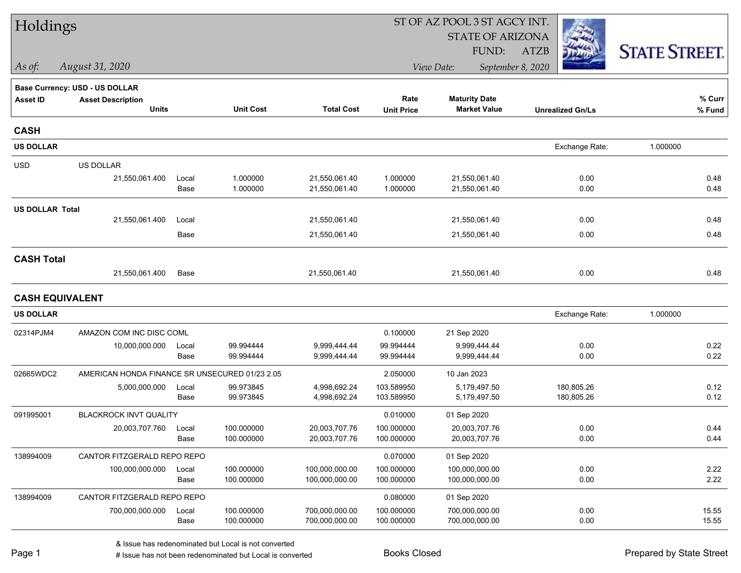| Holdings               |                                                |               |                          |                                  |                          | ST OF AZ POOL 3 ST AGCY INT.     |                         |                      |  |  |
|------------------------|------------------------------------------------|---------------|--------------------------|----------------------------------|--------------------------|----------------------------------|-------------------------|----------------------|--|--|
|                        |                                                |               |                          |                                  |                          | <b>STATE OF ARIZONA</b>          |                         |                      |  |  |
|                        |                                                |               |                          |                                  |                          | FUND:                            | <b>ATZB</b>             | <b>STATE STREET.</b> |  |  |
| As of:                 | August 31, 2020                                |               |                          |                                  |                          | View Date:                       | September 8, 2020       |                      |  |  |
|                        | <b>Base Currency: USD - US DOLLAR</b>          |               |                          |                                  |                          |                                  |                         |                      |  |  |
| <b>Asset ID</b>        | <b>Asset Description</b>                       |               |                          |                                  | Rate                     | <b>Maturity Date</b>             |                         | % Curr               |  |  |
|                        | <b>Units</b>                                   |               | <b>Unit Cost</b>         | <b>Total Cost</b>                | <b>Unit Price</b>        | <b>Market Value</b>              | <b>Unrealized Gn/Ls</b> | % Fund               |  |  |
| <b>CASH</b>            |                                                |               |                          |                                  |                          |                                  |                         |                      |  |  |
| <b>US DOLLAR</b>       |                                                |               |                          |                                  |                          |                                  | Exchange Rate:          | 1.000000             |  |  |
| <b>USD</b>             | <b>US DOLLAR</b>                               |               |                          |                                  |                          |                                  |                         |                      |  |  |
|                        | 21,550,061.400                                 | Local         | 1.000000                 | 21,550,061.40                    | 1.000000                 | 21,550,061.40                    | 0.00                    | 0.48                 |  |  |
|                        |                                                | Base          | 1.000000                 | 21,550,061.40                    | 1.000000                 | 21,550,061.40                    | 0.00                    | 0.48                 |  |  |
| <b>US DOLLAR Total</b> |                                                |               |                          |                                  |                          |                                  |                         |                      |  |  |
|                        | 21,550,061.400                                 | Local         |                          | 21,550,061.40                    |                          | 21,550,061.40                    | 0.00                    | 0.48                 |  |  |
|                        |                                                | Base          |                          | 21,550,061.40                    |                          | 21,550,061.40                    | 0.00                    | 0.48                 |  |  |
| <b>CASH Total</b>      |                                                |               |                          |                                  |                          |                                  |                         |                      |  |  |
|                        | 21,550,061.400                                 | Base          |                          | 21,550,061.40                    |                          | 21,550,061.40                    | 0.00                    | 0.48                 |  |  |
| <b>CASH EQUIVALENT</b> |                                                |               |                          |                                  |                          |                                  |                         |                      |  |  |
| <b>US DOLLAR</b>       |                                                |               |                          |                                  |                          |                                  | Exchange Rate:          | 1.000000             |  |  |
| 02314PJM4              | AMAZON COM INC DISC COML                       |               |                          |                                  | 0.100000                 | 21 Sep 2020                      |                         |                      |  |  |
|                        | 10,000,000.000                                 | Local         | 99.994444                | 9,999,444.44                     | 99.994444                | 9,999,444.44                     | 0.00                    | 0.22                 |  |  |
|                        |                                                | Base          | 99.994444                | 9,999,444.44                     | 99.994444                | 9,999,444.44                     | 0.00                    | 0.22                 |  |  |
| 02665WDC2              | AMERICAN HONDA FINANCE SR UNSECURED 01/23 2.05 |               |                          |                                  | 2.050000                 | 10 Jan 2023                      |                         |                      |  |  |
|                        | 5,000,000.000                                  | Local         | 99.973845                | 4,998,692.24                     | 103.589950               | 5,179,497.50                     | 180,805.26              | 0.12                 |  |  |
|                        |                                                | Base          | 99.973845                | 4,998,692.24                     | 103.589950               | 5,179,497.50                     | 180,805.26              | 0.12                 |  |  |
| 091995001              | <b>BLACKROCK INVT QUALITY</b>                  |               |                          |                                  | 0.010000                 | 01 Sep 2020                      |                         |                      |  |  |
|                        | 20,003,707.760                                 | Local         | 100.000000               | 20,003,707.76                    | 100.000000               | 20,003,707.76                    | 0.00                    | 0.44                 |  |  |
|                        |                                                | Base          | 100.000000               | 20,003,707.76                    | 100.000000               | 20,003,707.76                    | 0.00                    | 0.44                 |  |  |
| 138994009              | CANTOR FITZGERALD REPO REPO                    |               |                          |                                  | 0.070000                 | 01 Sep 2020                      |                         |                      |  |  |
|                        | 100,000,000.000                                | Local         | 100.000000               | 100,000,000.00                   | 100.000000               | 100,000,000.00                   | 0.00                    | 2.22                 |  |  |
|                        |                                                | Base          | 100.000000               | 100,000,000.00                   | 100.000000               | 100,000,000.00                   | 0.00                    | 2.22                 |  |  |
| 138994009              | CANTOR FITZGERALD REPO REPO                    |               |                          |                                  | 0.080000                 | 01 Sep 2020                      |                         |                      |  |  |
|                        | 700,000,000.000                                | Local<br>Base | 100.000000<br>100.000000 | 700,000,000.00<br>700,000,000.00 | 100.000000<br>100.000000 | 700,000,000.00<br>700,000,000.00 | 0.00<br>0.00            | 15.55<br>15.55       |  |  |
|                        |                                                |               |                          |                                  |                          |                                  |                         |                      |  |  |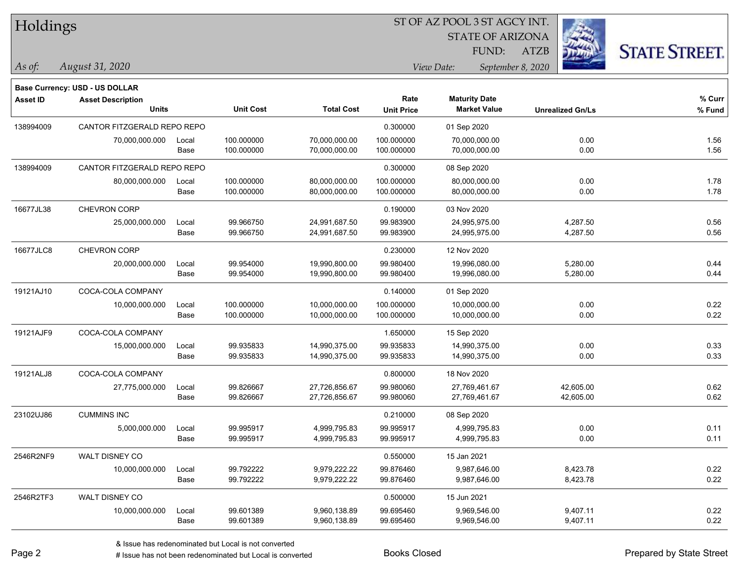#### ST OF AZ POOL 3 ST AGCY INT.

STATE OF ARIZONA

ATZB



**Base Currency: USD - US DOLLAR**

| <b>Asset ID</b> | <b>Asset Description</b>    |       |                  |                   | Rate              | <b>Maturity Date</b> |                         | % Curr |
|-----------------|-----------------------------|-------|------------------|-------------------|-------------------|----------------------|-------------------------|--------|
|                 | <b>Units</b>                |       | <b>Unit Cost</b> | <b>Total Cost</b> | <b>Unit Price</b> | <b>Market Value</b>  | <b>Unrealized Gn/Ls</b> | % Fund |
| 138994009       | CANTOR FITZGERALD REPO REPO |       |                  |                   | 0.300000          | 01 Sep 2020          |                         |        |
|                 | 70,000,000.000              | Local | 100.000000       | 70,000,000.00     | 100.000000        | 70,000,000.00        | 0.00                    | 1.56   |
|                 |                             | Base  | 100.000000       | 70,000,000.00     | 100.000000        | 70,000,000.00        | 0.00                    | 1.56   |
| 138994009       | CANTOR FITZGERALD REPO REPO |       |                  |                   | 0.300000          | 08 Sep 2020          |                         |        |
|                 | 80,000,000.000              | Local | 100.000000       | 80,000,000.00     | 100.000000        | 80,000,000.00        | 0.00                    | 1.78   |
|                 |                             | Base  | 100.000000       | 80,000,000.00     | 100.000000        | 80,000,000.00        | 0.00                    | 1.78   |
| 16677JL38       | CHEVRON CORP                |       |                  |                   | 0.190000          | 03 Nov 2020          |                         |        |
|                 | 25,000,000.000              | Local | 99.966750        | 24,991,687.50     | 99.983900         | 24,995,975.00        | 4,287.50                | 0.56   |
|                 |                             | Base  | 99.966750        | 24,991,687.50     | 99.983900         | 24,995,975.00        | 4,287.50                | 0.56   |
| 16677JLC8       | CHEVRON CORP                |       |                  |                   | 0.230000          | 12 Nov 2020          |                         |        |
|                 | 20,000,000.000              | Local | 99.954000        | 19,990,800.00     | 99.980400         | 19,996,080.00        | 5,280.00                | 0.44   |
|                 |                             | Base  | 99.954000        | 19,990,800.00     | 99.980400         | 19,996,080.00        | 5,280.00                | 0.44   |
| 19121AJ10       | COCA-COLA COMPANY           |       |                  |                   | 0.140000          | 01 Sep 2020          |                         |        |
|                 | 10,000,000.000              | Local | 100.000000       | 10,000,000.00     | 100.000000        | 10,000,000.00        | 0.00                    | 0.22   |
|                 |                             | Base  | 100.000000       | 10,000,000.00     | 100.000000        | 10,000,000.00        | 0.00                    | 0.22   |
| 19121AJF9       | COCA-COLA COMPANY           |       |                  |                   | 1.650000          | 15 Sep 2020          |                         |        |
|                 | 15,000,000.000              | Local | 99.935833        | 14,990,375.00     | 99.935833         | 14,990,375.00        | 0.00                    | 0.33   |
|                 |                             | Base  | 99.935833        | 14,990,375.00     | 99.935833         | 14,990,375.00        | 0.00                    | 0.33   |
| 19121ALJ8       | COCA-COLA COMPANY           |       |                  |                   | 0.800000          | 18 Nov 2020          |                         |        |
|                 | 27,775,000.000              | Local | 99.826667        | 27,726,856.67     | 99.980060         | 27,769,461.67        | 42,605.00               | 0.62   |
|                 |                             | Base  | 99.826667        | 27,726,856.67     | 99.980060         | 27,769,461.67        | 42,605.00               | 0.62   |
| 23102UJ86       | <b>CUMMINS INC</b>          |       |                  |                   | 0.210000          | 08 Sep 2020          |                         |        |
|                 | 5,000,000.000               | Local | 99.995917        | 4,999,795.83      | 99.995917         | 4,999,795.83         | 0.00                    | 0.11   |
|                 |                             | Base  | 99.995917        | 4,999,795.83      | 99.995917         | 4,999,795.83         | 0.00                    | 0.11   |
| 2546R2NF9       | WALT DISNEY CO              |       |                  |                   | 0.550000          | 15 Jan 2021          |                         |        |
|                 | 10,000,000.000              | Local | 99.792222        | 9,979,222.22      | 99.876460         | 9,987,646.00         | 8,423.78                | 0.22   |
|                 |                             | Base  | 99.792222        | 9,979,222.22      | 99.876460         | 9,987,646.00         | 8,423.78                | 0.22   |
| 2546R2TF3       | WALT DISNEY CO              |       |                  |                   | 0.500000          | 15 Jun 2021          |                         |        |
|                 | 10,000,000.000              | Local | 99.601389        | 9,960,138.89      | 99.695460         | 9,969,546.00         | 9,407.11                | 0.22   |
|                 |                             | Base  | 99.601389        | 9,960,138.89      | 99.695460         | 9,969,546.00         | 9,407.11                | 0.22   |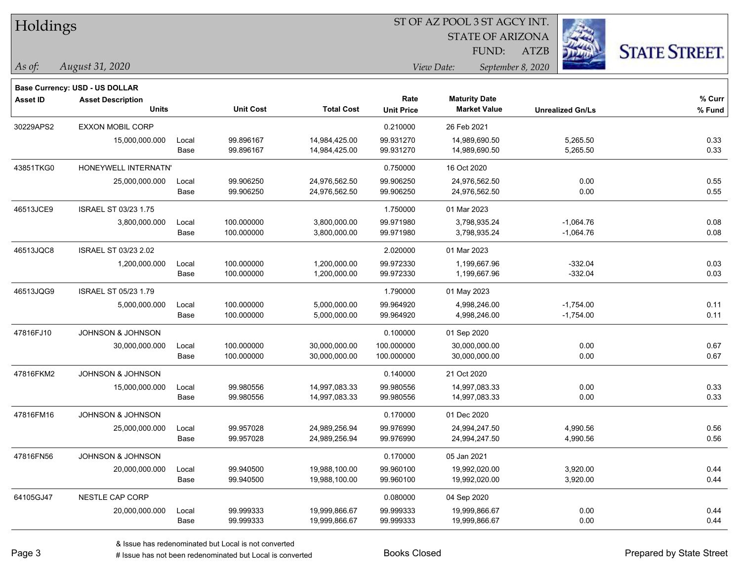| Holdings        |                                       |       | ST OF AZ POOL 3 ST AGCY INT. |                   |                   |                         |                         |                      |  |  |
|-----------------|---------------------------------------|-------|------------------------------|-------------------|-------------------|-------------------------|-------------------------|----------------------|--|--|
|                 |                                       |       |                              |                   |                   | <b>STATE OF ARIZONA</b> |                         |                      |  |  |
|                 |                                       |       |                              |                   |                   | FUND:                   | <b>ATZB</b>             | <b>STATE STREET.</b> |  |  |
| As of:          | August 31, 2020                       |       |                              |                   |                   | View Date:              | September 8, 2020       |                      |  |  |
|                 | <b>Base Currency: USD - US DOLLAR</b> |       |                              |                   |                   |                         |                         |                      |  |  |
| <b>Asset ID</b> | <b>Asset Description</b>              |       |                              |                   | Rate              | <b>Maturity Date</b>    |                         | % Curr               |  |  |
|                 | <b>Units</b>                          |       | <b>Unit Cost</b>             | <b>Total Cost</b> | <b>Unit Price</b> | <b>Market Value</b>     | <b>Unrealized Gn/Ls</b> | % Fund               |  |  |
| 30229APS2       | <b>EXXON MOBIL CORP</b>               |       |                              |                   | 0.210000          | 26 Feb 2021             |                         |                      |  |  |
|                 | 15,000,000.000                        | Local | 99.896167                    | 14,984,425.00     | 99.931270         | 14,989,690.50           | 5,265.50                | 0.33                 |  |  |
|                 |                                       | Base  | 99.896167                    | 14,984,425.00     | 99.931270         | 14,989,690.50           | 5,265.50                | 0.33                 |  |  |
| 43851TKG0       | HONEYWELL INTERNATN'                  |       |                              |                   | 0.750000          | 16 Oct 2020             |                         |                      |  |  |
|                 | 25,000,000.000                        | Local | 99.906250                    | 24,976,562.50     | 99.906250         | 24,976,562.50           | 0.00                    | 0.55                 |  |  |
|                 |                                       | Base  | 99.906250                    | 24,976,562.50     | 99.906250         | 24,976,562.50           | 0.00                    | 0.55                 |  |  |
| 46513JCE9       | ISRAEL ST 03/23 1.75                  |       |                              |                   | 1.750000          | 01 Mar 2023             |                         |                      |  |  |
|                 | 3,800,000.000                         | Local | 100.000000                   | 3,800,000.00      | 99.971980         | 3,798,935.24            | $-1,064.76$             | 0.08                 |  |  |
|                 |                                       | Base  | 100.000000                   | 3,800,000.00      | 99.971980         | 3,798,935.24            | $-1,064.76$             | 0.08                 |  |  |
| 46513JQC8       | ISRAEL ST 03/23 2.02                  |       |                              |                   | 2.020000          | 01 Mar 2023             |                         |                      |  |  |
|                 | 1,200,000.000                         | Local | 100.000000                   | 1,200,000.00      | 99.972330         | 1,199,667.96            | $-332.04$               | 0.03                 |  |  |
|                 |                                       | Base  | 100.000000                   | 1,200,000.00      | 99.972330         | 1,199,667.96            | $-332.04$               | 0.03                 |  |  |
| 46513JQG9       | ISRAEL ST 05/23 1.79                  |       |                              |                   | 1.790000          | 01 May 2023             |                         |                      |  |  |
|                 | 5,000,000.000                         | Local | 100.000000                   | 5,000,000.00      | 99.964920         | 4,998,246.00            | $-1,754.00$             | 0.11                 |  |  |
|                 |                                       | Base  | 100.000000                   | 5,000,000.00      | 99.964920         | 4,998,246.00            | $-1,754.00$             | 0.11                 |  |  |
| 47816FJ10       | JOHNSON & JOHNSON                     |       |                              |                   | 0.100000          | 01 Sep 2020             |                         |                      |  |  |
|                 | 30,000,000.000                        | Local | 100.000000                   | 30,000,000.00     | 100.000000        | 30,000,000.00           | 0.00                    | 0.67                 |  |  |
|                 |                                       | Base  | 100.000000                   | 30,000,000.00     | 100.000000        | 30,000,000.00           | 0.00                    | 0.67                 |  |  |
| 47816FKM2       | <b>JOHNSON &amp; JOHNSON</b>          |       |                              |                   | 0.140000          | 21 Oct 2020             |                         |                      |  |  |
|                 | 15,000,000.000                        | Local | 99.980556                    | 14,997,083.33     | 99.980556         | 14,997,083.33           | 0.00                    | 0.33                 |  |  |
|                 |                                       | Base  | 99.980556                    | 14,997,083.33     | 99.980556         | 14,997,083.33           | 0.00                    | 0.33                 |  |  |
| 47816FM16       | JOHNSON & JOHNSON                     |       |                              |                   | 0.170000          | 01 Dec 2020             |                         |                      |  |  |
|                 | 25,000,000.000                        | Local | 99.957028                    | 24,989,256.94     | 99.976990         | 24,994,247.50           | 4,990.56                | 0.56                 |  |  |
|                 |                                       | Base  | 99.957028                    | 24,989,256.94     | 99.976990         | 24,994,247.50           | 4,990.56                | 0.56                 |  |  |
| 47816FN56       | JOHNSON & JOHNSON                     |       |                              |                   | 0.170000          | 05 Jan 2021             |                         |                      |  |  |
|                 | 20,000,000.000                        | Local | 99.940500                    | 19,988,100.00     | 99.960100         | 19,992,020.00           | 3,920.00                | 0.44                 |  |  |
|                 |                                       | Base  | 99.940500                    | 19,988,100.00     | 99.960100         | 19,992,020.00           | 3,920.00                | 0.44                 |  |  |
| 64105GJ47       | <b>NESTLE CAP CORP</b>                |       |                              |                   | 0.080000          | 04 Sep 2020             |                         |                      |  |  |
|                 | 20,000,000.000                        | Local | 99.999333                    | 19,999,866.67     | 99.999333         | 19,999,866.67           | 0.00                    | 0.44                 |  |  |
|                 |                                       | Base  | 99.999333                    | 19,999,866.67     | 99.999333         | 19,999,866.67           | 0.00                    | 0.44                 |  |  |

 $\overline{\phantom{0}}$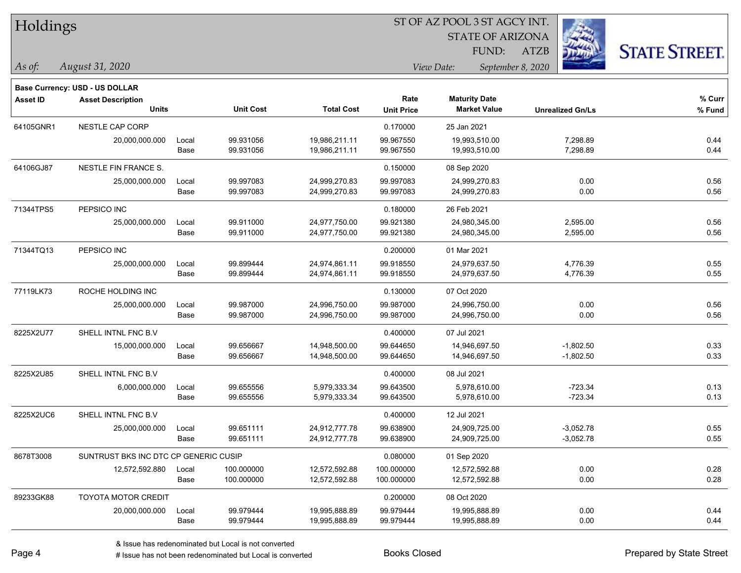| Holdings |
|----------|
|          |

STATE OF ARIZONA

ATZB



**Base Currency: USD - US DOLLAR**

| <b>Asset ID</b> | <b>Asset Description</b><br><b>Units</b> |       | <b>Unit Cost</b> | <b>Total Cost</b> | Rate<br><b>Unit Price</b> | <b>Maturity Date</b><br><b>Market Value</b> | <b>Unrealized Gn/Ls</b> | % Curr<br>% Fund |
|-----------------|------------------------------------------|-------|------------------|-------------------|---------------------------|---------------------------------------------|-------------------------|------------------|
|                 |                                          |       |                  |                   |                           |                                             |                         |                  |
| 64105GNR1       | NESTLE CAP CORP                          |       |                  |                   | 0.170000                  | 25 Jan 2021                                 |                         |                  |
|                 | 20,000,000.000                           | Local | 99.931056        | 19,986,211.11     | 99.967550                 | 19,993,510.00                               | 7,298.89                | 0.44             |
|                 |                                          | Base  | 99.931056        | 19,986,211.11     | 99.967550                 | 19,993,510.00                               | 7,298.89                | 0.44             |
| 64106GJ87       | NESTLE FIN FRANCE S.                     |       |                  |                   | 0.150000                  | 08 Sep 2020                                 |                         |                  |
|                 | 25,000,000.000                           | Local | 99.997083        | 24,999,270.83     | 99.997083                 | 24,999,270.83                               | 0.00                    | 0.56             |
|                 |                                          | Base  | 99.997083        | 24,999,270.83     | 99.997083                 | 24,999,270.83                               | 0.00                    | 0.56             |
| 71344TPS5       | PEPSICO INC                              |       |                  |                   | 0.180000                  | 26 Feb 2021                                 |                         |                  |
|                 | 25,000,000.000                           | Local | 99.911000        | 24,977,750.00     | 99.921380                 | 24,980,345.00                               | 2,595.00                | 0.56             |
|                 |                                          | Base  | 99.911000        | 24,977,750.00     | 99.921380                 | 24,980,345.00                               | 2,595.00                | 0.56             |
| 71344TQ13       | PEPSICO INC                              |       |                  |                   | 0.200000                  | 01 Mar 2021                                 |                         |                  |
|                 | 25,000,000.000                           | Local | 99.899444        | 24,974,861.11     | 99.918550                 | 24,979,637.50                               | 4,776.39                | 0.55             |
|                 |                                          | Base  | 99.899444        | 24,974,861.11     | 99.918550                 | 24,979,637.50                               | 4,776.39                | 0.55             |
| 77119LK73       | ROCHE HOLDING INC                        |       |                  |                   | 0.130000                  | 07 Oct 2020                                 |                         |                  |
|                 | 25,000,000.000                           | Local | 99.987000        | 24,996,750.00     | 99.987000                 | 24,996,750.00                               | 0.00                    | 0.56             |
|                 |                                          | Base  | 99.987000        | 24,996,750.00     | 99.987000                 | 24,996,750.00                               | 0.00                    | 0.56             |
| 8225X2U77       | SHELL INTNL FNC B.V                      |       |                  |                   | 0.400000                  | 07 Jul 2021                                 |                         |                  |
|                 | 15,000,000.000                           | Local | 99.656667        | 14,948,500.00     | 99.644650                 | 14,946,697.50                               | $-1,802.50$             | 0.33             |
|                 |                                          | Base  | 99.656667        | 14,948,500.00     | 99.644650                 | 14,946,697.50                               | $-1,802.50$             | 0.33             |
| 8225X2U85       | SHELL INTNL FNC B.V                      |       |                  |                   | 0.400000                  | 08 Jul 2021                                 |                         |                  |
|                 | 6,000,000.000                            | Local | 99.655556        | 5,979,333.34      | 99.643500                 | 5,978,610.00                                | $-723.34$               | 0.13             |
|                 |                                          | Base  | 99.655556        | 5,979,333.34      | 99.643500                 | 5,978,610.00                                | $-723.34$               | 0.13             |
| 8225X2UC6       | SHELL INTNL FNC B.V                      |       |                  |                   | 0.400000                  | 12 Jul 2021                                 |                         |                  |
|                 | 25,000,000.000                           | Local | 99.651111        | 24,912,777.78     | 99.638900                 | 24,909,725.00                               | $-3,052.78$             | 0.55             |
|                 |                                          | Base  | 99.651111        | 24,912,777.78     | 99.638900                 | 24,909,725.00                               | $-3,052.78$             | 0.55             |
| 8678T3008       | SUNTRUST BKS INC DTC CP GENERIC CUSIP    |       |                  |                   | 0.080000                  | 01 Sep 2020                                 |                         |                  |
|                 | 12,572,592.880                           | Local | 100.000000       | 12,572,592.88     | 100.000000                | 12,572,592.88                               | 0.00                    | 0.28             |
|                 |                                          | Base  | 100.000000       | 12,572,592.88     | 100.000000                | 12,572,592.88                               | 0.00                    | 0.28             |
| 89233GK88       | TOYOTA MOTOR CREDIT                      |       |                  |                   | 0.200000                  | 08 Oct 2020                                 |                         |                  |
|                 | 20,000,000.000                           | Local | 99.979444        | 19,995,888.89     | 99.979444                 | 19,995,888.89                               | 0.00                    | 0.44             |
|                 |                                          | Base  | 99.979444        | 19,995,888.89     | 99.979444                 | 19,995,888.89                               | 0.00                    | 0.44             |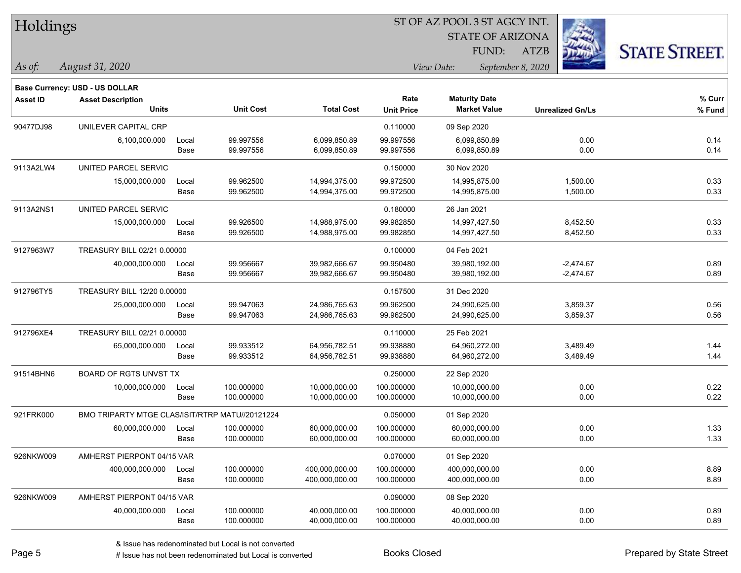|  | <b>Holdings</b> |
|--|-----------------|
|  |                 |

STATE OF ARIZONA

ATZB



**Base Currency: USD - US DOLLAR**

*August 31, 2020 As of: View Date: September 8, 2020* FUND:

| <b>Asset ID</b> | <b>Asset Description</b>                        |       |                  |                   | Rate              | <b>Maturity Date</b> |                         | % Curr   |
|-----------------|-------------------------------------------------|-------|------------------|-------------------|-------------------|----------------------|-------------------------|----------|
|                 | <b>Units</b>                                    |       | <b>Unit Cost</b> | <b>Total Cost</b> | <b>Unit Price</b> | <b>Market Value</b>  | <b>Unrealized Gn/Ls</b> | $%$ Fund |
| 90477DJ98       | UNILEVER CAPITAL CRP                            |       |                  |                   | 0.110000          | 09 Sep 2020          |                         |          |
|                 | 6,100,000.000                                   | Local | 99.997556        | 6,099,850.89      | 99.997556         | 6,099,850.89         | 0.00                    | 0.14     |
|                 |                                                 | Base  | 99.997556        | 6,099,850.89      | 99.997556         | 6,099,850.89         | 0.00                    | 0.14     |
| 9113A2LW4       | UNITED PARCEL SERVIC                            |       |                  |                   | 0.150000          | 30 Nov 2020          |                         |          |
|                 | 15,000,000.000                                  | Local | 99.962500        | 14,994,375.00     | 99.972500         | 14,995,875.00        | 1,500.00                | 0.33     |
|                 |                                                 | Base  | 99.962500        | 14,994,375.00     | 99.972500         | 14,995,875.00        | 1,500.00                | 0.33     |
| 9113A2NS1       | UNITED PARCEL SERVIC                            |       |                  |                   | 0.180000          | 26 Jan 2021          |                         |          |
|                 | 15,000,000.000                                  | Local | 99.926500        | 14,988,975.00     | 99.982850         | 14,997,427.50        | 8,452.50                | 0.33     |
|                 |                                                 | Base  | 99.926500        | 14,988,975.00     | 99.982850         | 14,997,427.50        | 8,452.50                | 0.33     |
| 9127963W7       | TREASURY BILL 02/21 0.00000                     |       |                  |                   | 0.100000          | 04 Feb 2021          |                         |          |
|                 | 40,000,000.000                                  | Local | 99.956667        | 39,982,666.67     | 99.950480         | 39,980,192.00        | $-2,474.67$             | 0.89     |
|                 |                                                 | Base  | 99.956667        | 39,982,666.67     | 99.950480         | 39,980,192.00        | $-2,474.67$             | 0.89     |
| 912796TY5       | TREASURY BILL 12/20 0.00000                     |       |                  |                   | 0.157500          | 31 Dec 2020          |                         |          |
|                 | 25,000,000.000                                  | Local | 99.947063        | 24,986,765.63     | 99.962500         | 24,990,625.00        | 3,859.37                | 0.56     |
|                 |                                                 | Base  | 99.947063        | 24,986,765.63     | 99.962500         | 24,990,625.00        | 3,859.37                | 0.56     |
| 912796XE4       | TREASURY BILL 02/21 0.00000                     |       |                  |                   | 0.110000          | 25 Feb 2021          |                         |          |
|                 | 65,000,000.000                                  | Local | 99.933512        | 64,956,782.51     | 99.938880         | 64,960,272.00        | 3,489.49                | 1.44     |
|                 |                                                 | Base  | 99.933512        | 64,956,782.51     | 99.938880         | 64,960,272.00        | 3,489.49                | 1.44     |
| 91514BHN6       | BOARD OF RGTS UNVST TX                          |       |                  |                   | 0.250000          | 22 Sep 2020          |                         |          |
|                 | 10,000,000.000                                  | Local | 100.000000       | 10,000,000.00     | 100.000000        | 10,000,000.00        | 0.00                    | 0.22     |
|                 |                                                 | Base  | 100.000000       | 10,000,000.00     | 100.000000        | 10,000,000.00        | 0.00                    | 0.22     |
| 921FRK000       | BMO TRIPARTY MTGE CLAS/ISIT/RTRP MATU//20121224 |       |                  |                   | 0.050000          | 01 Sep 2020          |                         |          |
|                 | 60,000,000.000                                  | Local | 100.000000       | 60,000,000.00     | 100.000000        | 60,000,000.00        | 0.00                    | 1.33     |
|                 |                                                 | Base  | 100.000000       | 60,000,000.00     | 100.000000        | 60,000,000.00        | 0.00                    | 1.33     |
| 926NKW009       | AMHERST PIERPONT 04/15 VAR                      |       |                  |                   | 0.070000          | 01 Sep 2020          |                         |          |
|                 | 400,000,000.000                                 | Local | 100.000000       | 400,000,000.00    | 100.000000        | 400,000,000.00       | 0.00                    | 8.89     |
|                 |                                                 | Base  | 100.000000       | 400,000,000.00    | 100.000000        | 400,000,000.00       | 0.00                    | 8.89     |
| 926NKW009       | AMHERST PIERPONT 04/15 VAR                      |       |                  |                   | 0.090000          | 08 Sep 2020          |                         |          |
|                 | 40,000,000.000                                  | Local | 100.000000       | 40,000,000.00     | 100.000000        | 40,000,000.00        | 0.00                    | 0.89     |
|                 |                                                 | Base  | 100.000000       | 40,000,000.00     | 100.000000        | 40,000,000.00        | 0.00                    | 0.89     |

# Issue has not been redenominated but Local is converted Books Closed Prepared by State Street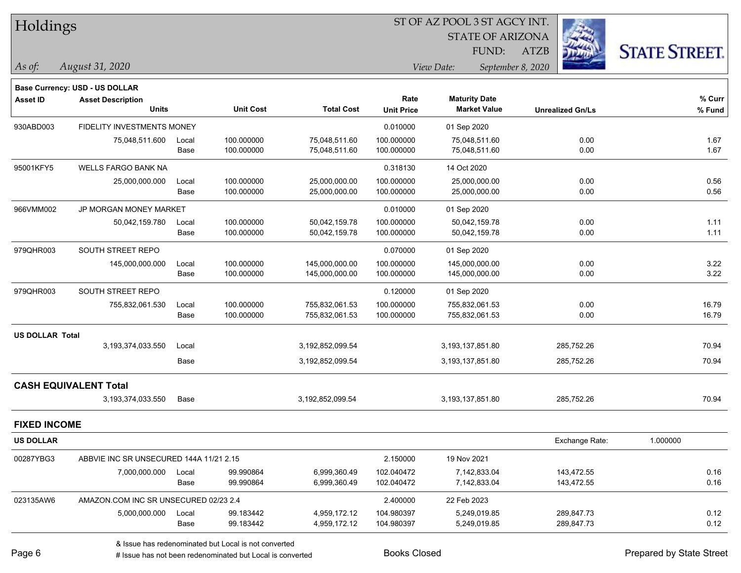#### ST OF AZ POOL 3 ST AGCY INT.

STATE OF ARIZONA FUND:

ATZB



*August 31, 2020 As of: View Date: September 8, 2020*

|                        | <b>Base Currency: USD - US DOLLAR</b>   |       |                  |                   |                   |                      |                         |          |
|------------------------|-----------------------------------------|-------|------------------|-------------------|-------------------|----------------------|-------------------------|----------|
| <b>Asset ID</b>        | <b>Asset Description</b>                |       |                  |                   | Rate              | <b>Maturity Date</b> |                         | % Curr   |
|                        | <b>Units</b>                            |       | <b>Unit Cost</b> | <b>Total Cost</b> | <b>Unit Price</b> | <b>Market Value</b>  | <b>Unrealized Gn/Ls</b> | % Fund   |
| 930ABD003              | FIDELITY INVESTMENTS MONEY              |       |                  |                   | 0.010000          | 01 Sep 2020          |                         |          |
|                        | 75,048,511.600                          | Local | 100.000000       | 75,048,511.60     | 100.000000        | 75,048,511.60        | 0.00                    | 1.67     |
|                        |                                         | Base  | 100.000000       | 75,048,511.60     | 100.000000        | 75,048,511.60        | 0.00                    | 1.67     |
| 95001KFY5              | WELLS FARGO BANK NA                     |       |                  |                   | 0.318130          | 14 Oct 2020          |                         |          |
|                        | 25,000,000.000                          | Local | 100.000000       | 25,000,000.00     | 100.000000        | 25,000,000.00        | 0.00                    | 0.56     |
|                        |                                         | Base  | 100.000000       | 25,000,000.00     | 100.000000        | 25,000,000.00        | 0.00                    | 0.56     |
| 966VMM002              | JP MORGAN MONEY MARKET                  |       |                  |                   | 0.010000          | 01 Sep 2020          |                         |          |
|                        | 50,042,159.780                          | Local | 100.000000       | 50,042,159.78     | 100.000000        | 50,042,159.78        | 0.00                    | 1.11     |
|                        |                                         | Base  | 100.000000       | 50,042,159.78     | 100.000000        | 50,042,159.78        | 0.00                    | 1.11     |
| 979QHR003              | SOUTH STREET REPO                       |       |                  |                   | 0.070000          | 01 Sep 2020          |                         |          |
|                        | 145,000,000.000                         | Local | 100.000000       | 145,000,000.00    | 100.000000        | 145,000,000.00       | 0.00                    | 3.22     |
|                        |                                         | Base  | 100.000000       | 145,000,000.00    | 100.000000        | 145,000,000.00       | 0.00                    | 3.22     |
| 979QHR003              | SOUTH STREET REPO                       |       |                  |                   | 0.120000          | 01 Sep 2020          |                         |          |
|                        | 755,832,061.530                         | Local | 100.000000       | 755,832,061.53    | 100.000000        | 755,832,061.53       | 0.00                    | 16.79    |
|                        |                                         | Base  | 100.000000       | 755,832,061.53    | 100.000000        | 755,832,061.53       | 0.00                    | 16.79    |
| <b>US DOLLAR Total</b> |                                         |       |                  |                   |                   |                      |                         |          |
|                        | 3,193,374,033.550                       | Local |                  | 3,192,852,099.54  |                   | 3,193,137,851.80     | 285,752.26              | 70.94    |
|                        |                                         | Base  |                  | 3,192,852,099.54  |                   | 3,193,137,851.80     | 285,752.26              | 70.94    |
|                        | <b>CASH EQUIVALENT Total</b>            |       |                  |                   |                   |                      |                         |          |
|                        | 3,193,374,033.550                       | Base  |                  | 3,192,852,099.54  |                   | 3,193,137,851.80     | 285,752.26              | 70.94    |
| <b>FIXED INCOME</b>    |                                         |       |                  |                   |                   |                      |                         |          |
| <b>US DOLLAR</b>       |                                         |       |                  |                   |                   |                      | Exchange Rate:          | 1.000000 |
| 00287YBG3              | ABBVIE INC SR UNSECURED 144A 11/21 2.15 |       |                  |                   | 2.150000          | 19 Nov 2021          |                         |          |
|                        | 7,000,000.000                           | Local | 99.990864        | 6,999,360.49      | 102.040472        | 7,142,833.04         | 143,472.55              | 0.16     |
|                        |                                         | Base  | 99.990864        | 6,999,360.49      | 102.040472        | 7,142,833.04         | 143,472.55              | 0.16     |
| 023135AW6              | AMAZON.COM INC SR UNSECURED 02/23 2.4   |       |                  |                   | 2.400000          | 22 Feb 2023          |                         |          |
|                        | 5,000,000.000                           | Local | 99.183442        | 4,959,172.12      | 104.980397        | 5,249,019.85         | 289,847.73              | 0.12     |
|                        |                                         | Base  | 99.183442        | 4,959,172.12      | 104.980397        | 5,249,019.85         | 289,847.73              | 0.12     |
|                        |                                         |       |                  |                   |                   |                      |                         |          |

& Issue has redenominated but Local is not converted

# Issue has not been redenominated but Local is converted Books Closed Prepared by State Street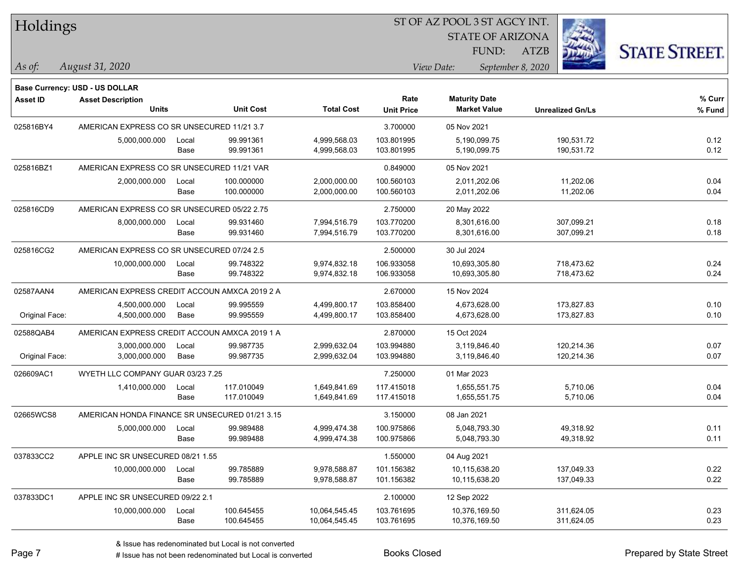| Holdings |
|----------|
|----------|

STATE OF ARIZONA

ATZB



**Base Currency: USD - US DOLLAR**

*August 31, 2020 As of: View Date: September 8, 2020* FUND:

| <b>Asset ID</b> | <b>Asset Description</b>                       |       |                  |                   | Rate              | <b>Maturity Date</b> |                         | % Curr |
|-----------------|------------------------------------------------|-------|------------------|-------------------|-------------------|----------------------|-------------------------|--------|
|                 | <b>Units</b>                                   |       | <b>Unit Cost</b> | <b>Total Cost</b> | <b>Unit Price</b> | <b>Market Value</b>  | <b>Unrealized Gn/Ls</b> | % Fund |
| 025816BY4       | AMERICAN EXPRESS CO SR UNSECURED 11/21 3.7     |       |                  |                   | 3.700000          | 05 Nov 2021          |                         |        |
|                 | 5,000,000.000                                  | Local | 99.991361        | 4,999,568.03      | 103.801995        | 5,190,099.75         | 190,531.72              | 0.12   |
|                 |                                                | Base  | 99.991361        | 4,999,568.03      | 103.801995        | 5,190,099.75         | 190,531.72              | 0.12   |
| 025816BZ1       | AMERICAN EXPRESS CO SR UNSECURED 11/21 VAR     |       |                  |                   | 0.849000          | 05 Nov 2021          |                         |        |
|                 | 2,000,000.000                                  | Local | 100.000000       | 2,000,000.00      | 100.560103        | 2,011,202.06         | 11,202.06               | 0.04   |
|                 |                                                | Base  | 100.000000       | 2,000,000.00      | 100.560103        | 2,011,202.06         | 11,202.06               | 0.04   |
| 025816CD9       | AMERICAN EXPRESS CO SR UNSECURED 05/22 2.75    |       |                  |                   | 2.750000          | 20 May 2022          |                         |        |
|                 | 8,000,000.000                                  | Local | 99.931460        | 7,994,516.79      | 103.770200        | 8,301,616.00         | 307,099.21              | 0.18   |
|                 |                                                | Base  | 99.931460        | 7,994,516.79      | 103.770200        | 8,301,616.00         | 307,099.21              | 0.18   |
| 025816CG2       | AMERICAN EXPRESS CO SR UNSECURED 07/24 2.5     |       |                  |                   | 2.500000          | 30 Jul 2024          |                         |        |
|                 | 10,000,000.000                                 | Local | 99.748322        | 9,974,832.18      | 106.933058        | 10,693,305.80        | 718,473.62              | 0.24   |
|                 |                                                | Base  | 99.748322        | 9,974,832.18      | 106.933058        | 10,693,305.80        | 718,473.62              | 0.24   |
| 02587AAN4       | AMERICAN EXPRESS CREDIT ACCOUN AMXCA 2019 2 A  |       |                  |                   | 2.670000          | 15 Nov 2024          |                         |        |
|                 | 4,500,000.000                                  | Local | 99.995559        | 4,499,800.17      | 103.858400        | 4,673,628.00         | 173,827.83              | 0.10   |
| Original Face:  | 4,500,000.000                                  | Base  | 99.995559        | 4,499,800.17      | 103.858400        | 4,673,628.00         | 173,827.83              | 0.10   |
| 02588QAB4       | AMERICAN EXPRESS CREDIT ACCOUN AMXCA 2019 1 A  |       |                  |                   | 2.870000          | 15 Oct 2024          |                         |        |
|                 | 3,000,000.000                                  | Local | 99.987735        | 2,999,632.04      | 103.994880        | 3,119,846.40         | 120,214.36              | 0.07   |
| Original Face:  | 3,000,000.000                                  | Base  | 99.987735        | 2,999,632.04      | 103.994880        | 3,119,846.40         | 120,214.36              | 0.07   |
| 026609AC1       | WYETH LLC COMPANY GUAR 03/23 7.25              |       |                  |                   | 7.250000          | 01 Mar 2023          |                         |        |
|                 | 1,410,000.000                                  | Local | 117.010049       | 1,649,841.69      | 117.415018        | 1,655,551.75         | 5,710.06                | 0.04   |
|                 |                                                | Base  | 117.010049       | 1,649,841.69      | 117.415018        | 1,655,551.75         | 5,710.06                | 0.04   |
| 02665WCS8       | AMERICAN HONDA FINANCE SR UNSECURED 01/21 3.15 |       |                  |                   | 3.150000          | 08 Jan 2021          |                         |        |
|                 | 5,000,000.000                                  | Local | 99.989488        | 4,999,474.38      | 100.975866        | 5,048,793.30         | 49,318.92               | 0.11   |
|                 |                                                | Base  | 99.989488        | 4,999,474.38      | 100.975866        | 5,048,793.30         | 49,318.92               | 0.11   |
| 037833CC2       | APPLE INC SR UNSECURED 08/21 1.55              |       |                  |                   | 1.550000          | 04 Aug 2021          |                         |        |
|                 | 10,000,000.000                                 | Local | 99.785889        | 9,978,588.87      | 101.156382        | 10,115,638.20        | 137,049.33              | 0.22   |
|                 |                                                | Base  | 99.785889        | 9,978,588.87      | 101.156382        | 10,115,638.20        | 137,049.33              | 0.22   |
| 037833DC1       | APPLE INC SR UNSECURED 09/22 2.1               |       |                  |                   | 2.100000          | 12 Sep 2022          |                         |        |
|                 | 10,000,000.000                                 | Local | 100.645455       | 10,064,545.45     | 103.761695        | 10,376,169.50        | 311,624.05              | 0.23   |
|                 |                                                | Base  | 100.645455       | 10,064,545.45     | 103.761695        | 10,376,169.50        | 311,624.05              | 0.23   |

A ISSUE ISSUE ISSUE ISSUE ISSUE ISSUE ISSUE ISSUE ISSUE ISSUE ISSUE ISSUE ISSUE ISSUE ISSUE ISSUE ISSUE ISSUE I<br>
# Issue has not been redenominated but Local is converted **BOOKS** Closed **Prepared by State Street**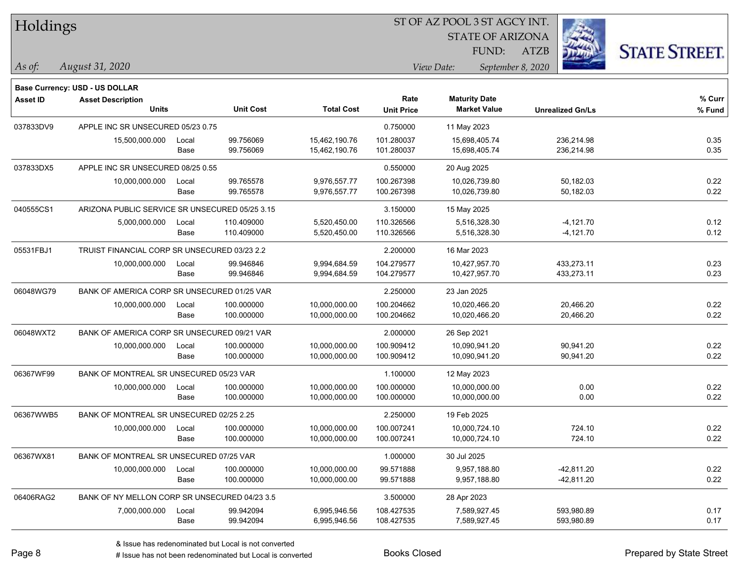|  | <b>Holdings</b> |
|--|-----------------|
|--|-----------------|

STATE OF ARIZONA

ATZB



**Base Currency: USD - US DOLLAR**

| <b>Asset ID</b> | <b>Asset Description</b>                       |       |                  |                   | Rate              | <b>Maturity Date</b> |                         | % Curr |
|-----------------|------------------------------------------------|-------|------------------|-------------------|-------------------|----------------------|-------------------------|--------|
|                 | Units                                          |       | <b>Unit Cost</b> | <b>Total Cost</b> | <b>Unit Price</b> | <b>Market Value</b>  | <b>Unrealized Gn/Ls</b> | % Fund |
| 037833DV9       | APPLE INC SR UNSECURED 05/23 0.75              |       |                  |                   | 0.750000          | 11 May 2023          |                         |        |
|                 | 15,500,000.000                                 | Local | 99.756069        | 15,462,190.76     | 101.280037        | 15,698,405.74        | 236,214.98              | 0.35   |
|                 |                                                | Base  | 99.756069        | 15,462,190.76     | 101.280037        | 15,698,405.74        | 236,214.98              | 0.35   |
| 037833DX5       | APPLE INC SR UNSECURED 08/25 0.55              |       |                  |                   | 0.550000          | 20 Aug 2025          |                         |        |
|                 | 10,000,000.000                                 | Local | 99.765578        | 9,976,557.77      | 100.267398        | 10,026,739.80        | 50,182.03               | 0.22   |
|                 |                                                | Base  | 99.765578        | 9,976,557.77      | 100.267398        | 10,026,739.80        | 50,182.03               | 0.22   |
| 040555CS1       | ARIZONA PUBLIC SERVICE SR UNSECURED 05/25 3.15 |       |                  |                   | 3.150000          | 15 May 2025          |                         |        |
|                 | 5,000,000.000                                  | Local | 110.409000       | 5,520,450.00      | 110.326566        | 5,516,328.30         | $-4,121.70$             | 0.12   |
|                 |                                                | Base  | 110.409000       | 5,520,450.00      | 110.326566        | 5,516,328.30         | $-4,121.70$             | 0.12   |
| 05531FBJ1       | TRUIST FINANCIAL CORP SR UNSECURED 03/23 2.2   |       |                  |                   | 2.200000          | 16 Mar 2023          |                         |        |
|                 | 10,000,000.000                                 | Local | 99.946846        | 9,994,684.59      | 104.279577        | 10,427,957.70        | 433,273.11              | 0.23   |
|                 |                                                | Base  | 99.946846        | 9,994,684.59      | 104.279577        | 10,427,957.70        | 433,273.11              | 0.23   |
| 06048WG79       | BANK OF AMERICA CORP SR UNSECURED 01/25 VAR    |       |                  |                   | 2.250000          | 23 Jan 2025          |                         |        |
|                 | 10,000,000.000                                 | Local | 100.000000       | 10,000,000.00     | 100.204662        | 10,020,466.20        | 20,466.20               | 0.22   |
|                 |                                                | Base  | 100.000000       | 10,000,000.00     | 100.204662        | 10,020,466.20        | 20,466.20               | 0.22   |
| 06048WXT2       | BANK OF AMERICA CORP SR UNSECURED 09/21 VAR    |       |                  |                   | 2.000000          | 26 Sep 2021          |                         |        |
|                 | 10,000,000.000                                 | Local | 100.000000       | 10,000,000.00     | 100.909412        | 10,090,941.20        | 90,941.20               | 0.22   |
|                 |                                                | Base  | 100.000000       | 10,000,000.00     | 100.909412        | 10,090,941.20        | 90,941.20               | 0.22   |
| 06367WF99       | BANK OF MONTREAL SR UNSECURED 05/23 VAR        |       |                  |                   | 1.100000          | 12 May 2023          |                         |        |
|                 | 10,000,000.000                                 | Local | 100.000000       | 10,000,000.00     | 100.000000        | 10,000,000.00        | 0.00                    | 0.22   |
|                 |                                                | Base  | 100.000000       | 10,000,000.00     | 100.000000        | 10,000,000.00        | 0.00                    | 0.22   |
| 06367WWB5       | BANK OF MONTREAL SR UNSECURED 02/25 2.25       |       |                  |                   | 2.250000          | 19 Feb 2025          |                         |        |
|                 | 10,000,000.000                                 | Local | 100.000000       | 10,000,000.00     | 100.007241        | 10,000,724.10        | 724.10                  | 0.22   |
|                 |                                                | Base  | 100.000000       | 10,000,000.00     | 100.007241        | 10,000,724.10        | 724.10                  | 0.22   |
| 06367WX81       | BANK OF MONTREAL SR UNSECURED 07/25 VAR        |       |                  |                   | 1.000000          | 30 Jul 2025          |                         |        |
|                 | 10,000,000.000                                 | Local | 100.000000       | 10,000,000.00     | 99.571888         | 9,957,188.80         | $-42,811.20$            | 0.22   |
|                 |                                                | Base  | 100.000000       | 10,000,000.00     | 99.571888         | 9,957,188.80         | -42,811.20              | 0.22   |
| 06406RAG2       | BANK OF NY MELLON CORP SR UNSECURED 04/23 3.5  |       |                  |                   | 3.500000          | 28 Apr 2023          |                         |        |
|                 | 7,000,000.000                                  | Local | 99.942094        | 6,995,946.56      | 108.427535        | 7,589,927.45         | 593,980.89              | 0.17   |
|                 |                                                | Base  | 99.942094        | 6,995,946.56      | 108.427535        | 7,589,927.45         | 593,980.89              | 0.17   |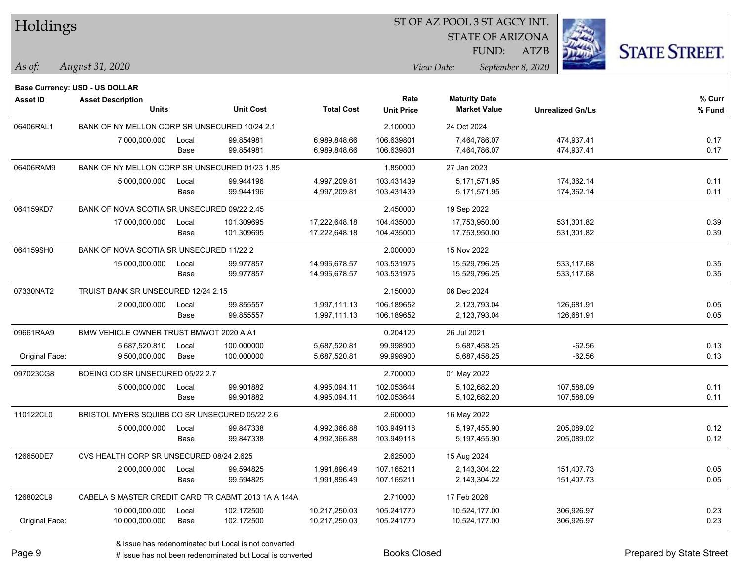| Holdings |
|----------|
|----------|

STATE OF ARIZONA

ATZB



**Base Currency: USD - US DOLLAR**

| <b>Asset ID</b> | <b>Asset Description</b>                            |       |                  |                   | Rate              | <b>Maturity Date</b> |                         | % Curr |
|-----------------|-----------------------------------------------------|-------|------------------|-------------------|-------------------|----------------------|-------------------------|--------|
|                 | <b>Units</b>                                        |       | <b>Unit Cost</b> | <b>Total Cost</b> | <b>Unit Price</b> | <b>Market Value</b>  | <b>Unrealized Gn/Ls</b> | % Fund |
| 06406RAL1       | BANK OF NY MELLON CORP SR UNSECURED 10/24 2.1       |       |                  | 2.100000          | 24 Oct 2024       |                      |                         |        |
|                 | 7,000,000.000                                       | Local | 99.854981        | 6,989,848.66      | 106.639801        | 7,464,786.07         | 474,937.41              | 0.17   |
|                 |                                                     | Base  | 99.854981        | 6,989,848.66      | 106.639801        | 7,464,786.07         | 474,937.41              | 0.17   |
| 06406RAM9       | BANK OF NY MELLON CORP SR UNSECURED 01/23 1.85      |       |                  |                   | 1.850000          | 27 Jan 2023          |                         |        |
|                 | 5,000,000.000                                       | Local | 99.944196        | 4,997,209.81      | 103.431439        | 5,171,571.95         | 174,362.14              | 0.11   |
|                 |                                                     | Base  | 99.944196        | 4,997,209.81      | 103.431439        | 5,171,571.95         | 174,362.14              | 0.11   |
| 064159KD7       | BANK OF NOVA SCOTIA SR UNSECURED 09/22 2.45         |       |                  |                   | 2.450000          | 19 Sep 2022          |                         |        |
|                 | 17,000,000.000                                      | Local | 101.309695       | 17,222,648.18     | 104.435000        | 17,753,950.00        | 531,301.82              | 0.39   |
|                 |                                                     | Base  | 101.309695       | 17,222,648.18     | 104.435000        | 17,753,950.00        | 531,301.82              | 0.39   |
| 064159SH0       | BANK OF NOVA SCOTIA SR UNSECURED 11/22 2            |       |                  |                   | 2.000000          | 15 Nov 2022          |                         |        |
|                 | 15,000,000.000                                      | Local | 99.977857        | 14,996,678.57     | 103.531975        | 15,529,796.25        | 533,117.68              | 0.35   |
|                 |                                                     | Base  | 99.977857        | 14,996,678.57     | 103.531975        | 15,529,796.25        | 533,117.68              | 0.35   |
| 07330NAT2       | TRUIST BANK SR UNSECURED 12/24 2.15                 |       |                  | 2.150000          | 06 Dec 2024       |                      |                         |        |
|                 | 2,000,000.000                                       | Local | 99.855557        | 1,997,111.13      | 106.189652        | 2,123,793.04         | 126,681.91              | 0.05   |
|                 |                                                     | Base  | 99.855557        | 1,997,111.13      | 106.189652        | 2,123,793.04         | 126,681.91              | 0.05   |
| 09661RAA9       | BMW VEHICLE OWNER TRUST BMWOT 2020 A A1             |       |                  |                   | 0.204120          | 26 Jul 2021          |                         |        |
|                 | 5,687,520.810                                       | Local | 100.000000       | 5,687,520.81      | 99.998900         | 5,687,458.25         | $-62.56$                | 0.13   |
| Original Face:  | 9,500,000.000                                       | Base  | 100.000000       | 5,687,520.81      | 99.998900         | 5,687,458.25         | $-62.56$                | 0.13   |
| 097023CG8       | BOEING CO SR UNSECURED 05/22 2.7                    |       |                  |                   | 2.700000          | 01 May 2022          |                         |        |
|                 | 5,000,000.000                                       | Local | 99.901882        | 4,995,094.11      | 102.053644        | 5,102,682.20         | 107,588.09              | 0.11   |
|                 |                                                     | Base  | 99.901882        | 4,995,094.11      | 102.053644        | 5,102,682.20         | 107,588.09              | 0.11   |
| 110122CL0       | BRISTOL MYERS SQUIBB CO SR UNSECURED 05/22 2.6      |       |                  |                   | 2.600000          | 16 May 2022          |                         |        |
|                 | 5,000,000.000                                       | Local | 99.847338        | 4,992,366.88      | 103.949118        | 5,197,455.90         | 205,089.02              | 0.12   |
|                 |                                                     | Base  | 99.847338        | 4,992,366.88      | 103.949118        | 5,197,455.90         | 205,089.02              | 0.12   |
| 126650DE7       | CVS HEALTH CORP SR UNSECURED 08/24 2.625            |       |                  |                   | 2.625000          | 15 Aug 2024          |                         |        |
|                 | 2,000,000.000                                       | Local | 99.594825        | 1,991,896.49      | 107.165211        | 2,143,304.22         | 151,407.73              | 0.05   |
|                 |                                                     | Base  | 99.594825        | 1,991,896.49      | 107.165211        | 2,143,304.22         | 151,407.73              | 0.05   |
| 126802CL9       | CABELA S MASTER CREDIT CARD TR CABMT 2013 1A A 144A |       |                  |                   | 2.710000          | 17 Feb 2026          |                         |        |
|                 | 10,000,000.000                                      | Local | 102.172500       | 10,217,250.03     | 105.241770        | 10,524,177.00        | 306,926.97              | 0.23   |
| Original Face:  | 10,000,000.000                                      | Base  | 102.172500       | 10,217,250.03     | 105.241770        | 10,524,177.00        | 306,926.97              | 0.23   |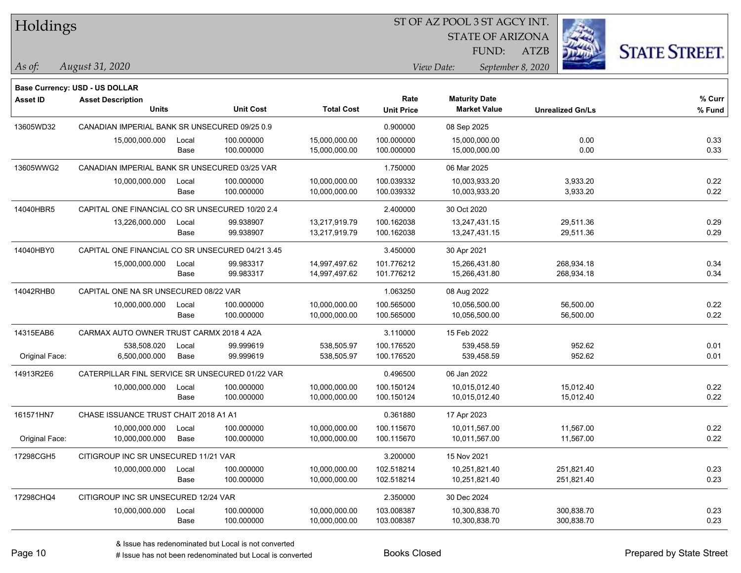| Holdings |
|----------|
|----------|

STATE OF ARIZONA

ATZB



**Base Currency: USD - US DOLLAR**

| <b>Asset ID</b> | <b>Asset Description</b>                         |       |                  |                   | Rate              | <b>Maturity Date</b> |                         | % Curr |
|-----------------|--------------------------------------------------|-------|------------------|-------------------|-------------------|----------------------|-------------------------|--------|
|                 | <b>Units</b>                                     |       | <b>Unit Cost</b> | <b>Total Cost</b> | <b>Unit Price</b> | <b>Market Value</b>  | <b>Unrealized Gn/Ls</b> | % Fund |
| 13605WD32       | CANADIAN IMPERIAL BANK SR UNSECURED 09/25 0.9    |       |                  |                   | 0.900000          | 08 Sep 2025          |                         |        |
|                 | 15,000,000.000                                   | Local | 100.000000       | 15,000,000.00     | 100.000000        | 15,000,000.00        | 0.00                    | 0.33   |
|                 |                                                  | Base  | 100.000000       | 15,000,000.00     | 100.000000        | 15,000,000.00        | 0.00                    | 0.33   |
| 13605WWG2       | CANADIAN IMPERIAL BANK SR UNSECURED 03/25 VAR    |       |                  |                   | 1.750000          | 06 Mar 2025          |                         |        |
|                 | 10,000,000.000                                   | Local | 100.000000       | 10,000,000.00     | 100.039332        | 10,003,933.20        | 3,933.20                | 0.22   |
|                 |                                                  | Base  | 100.000000       | 10,000,000.00     | 100.039332        | 10,003,933.20        | 3,933.20                | 0.22   |
| 14040HBR5       | CAPITAL ONE FINANCIAL CO SR UNSECURED 10/20 2.4  |       |                  |                   | 2.400000          | 30 Oct 2020          |                         |        |
|                 | 13,226,000.000                                   | Local | 99.938907        | 13,217,919.79     | 100.162038        | 13,247,431.15        | 29,511.36               | 0.29   |
|                 |                                                  | Base  | 99.938907        | 13,217,919.79     | 100.162038        | 13,247,431.15        | 29,511.36               | 0.29   |
| 14040HBY0       | CAPITAL ONE FINANCIAL CO SR UNSECURED 04/21 3.45 |       |                  |                   | 3.450000          | 30 Apr 2021          |                         |        |
|                 | 15,000,000.000                                   | Local | 99.983317        | 14,997,497.62     | 101.776212        | 15,266,431.80        | 268,934.18              | 0.34   |
|                 |                                                  | Base  | 99.983317        | 14,997,497.62     | 101.776212        | 15,266,431.80        | 268,934.18              | 0.34   |
| 14042RHB0       | CAPITAL ONE NA SR UNSECURED 08/22 VAR            |       |                  | 1.063250          | 08 Aug 2022       |                      |                         |        |
|                 | 10,000,000.000                                   | Local | 100.000000       | 10,000,000.00     | 100.565000        | 10,056,500.00        | 56,500.00               | 0.22   |
|                 |                                                  | Base  | 100.000000       | 10,000,000.00     | 100.565000        | 10,056,500.00        | 56,500.00               | 0.22   |
| 14315EAB6       | CARMAX AUTO OWNER TRUST CARMX 2018 4 A2A         |       |                  |                   | 3.110000          | 15 Feb 2022          |                         |        |
|                 | 538,508.020                                      | Local | 99.999619        | 538,505.97        | 100.176520        | 539,458.59           | 952.62                  | 0.01   |
| Original Face:  | 6,500,000.000                                    | Base  | 99.999619        | 538,505.97        | 100.176520        | 539,458.59           | 952.62                  | 0.01   |
| 14913R2E6       | CATERPILLAR FINL SERVICE SR UNSECURED 01/22 VAR  |       |                  |                   | 0.496500          | 06 Jan 2022          |                         |        |
|                 | 10,000,000.000                                   | Local | 100.000000       | 10,000,000.00     | 100.150124        | 10,015,012.40        | 15,012.40               | 0.22   |
|                 |                                                  | Base  | 100.000000       | 10,000,000.00     | 100.150124        | 10,015,012.40        | 15,012.40               | 0.22   |
| 161571HN7       | CHASE ISSUANCE TRUST CHAIT 2018 A1 A1            |       |                  |                   | 0.361880          | 17 Apr 2023          |                         |        |
|                 | 10,000,000.000                                   | Local | 100.000000       | 10,000,000.00     | 100.115670        | 10,011,567.00        | 11,567.00               | 0.22   |
| Original Face:  | 10,000,000.000                                   | Base  | 100.000000       | 10,000,000.00     | 100.115670        | 10,011,567.00        | 11,567.00               | 0.22   |
| 17298CGH5       | CITIGROUP INC SR UNSECURED 11/21 VAR             |       |                  |                   | 3.200000          | 15 Nov 2021          |                         |        |
|                 | 10,000,000.000                                   | Local | 100.000000       | 10,000,000.00     | 102.518214        | 10,251,821.40        | 251,821.40              | 0.23   |
|                 |                                                  | Base  | 100.000000       | 10,000,000.00     | 102.518214        | 10,251,821.40        | 251,821.40              | 0.23   |
| 17298CHQ4       | CITIGROUP INC SR UNSECURED 12/24 VAR             |       |                  |                   | 2.350000          | 30 Dec 2024          |                         |        |
|                 | 10,000,000.000                                   | Local | 100.000000       | 10,000,000.00     | 103.008387        | 10,300,838.70        | 300,838.70              | 0.23   |
|                 |                                                  | Base  | 100.000000       | 10,000,000.00     | 103.008387        | 10,300,838.70        | 300,838.70              | 0.23   |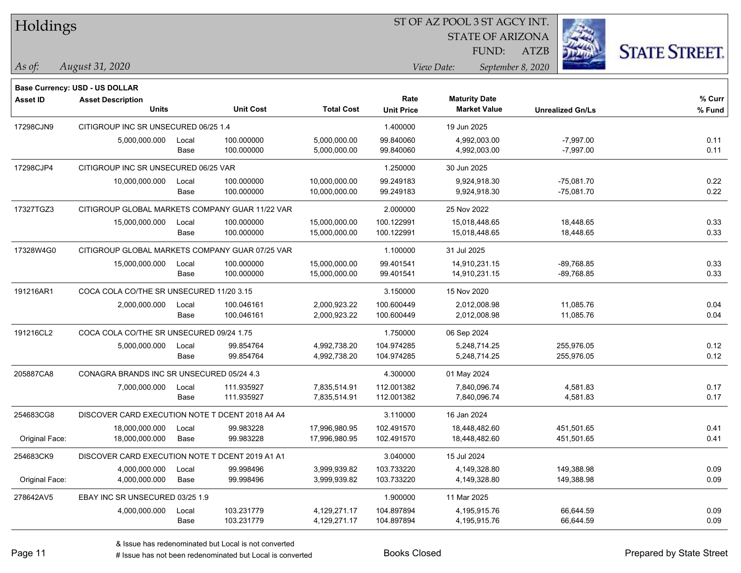| Holdings |
|----------|
|          |

STATE OF ARIZONA

ATZB



**Base Currency: USD - US DOLLAR**

*August 31, 2020 As of: View Date: September 8, 2020* FUND:

| <b>Asset ID</b> | <b>Asset Description</b>                        |       |                  |                   | Rate              | <b>Maturity Date</b> |                         | % Curr |
|-----------------|-------------------------------------------------|-------|------------------|-------------------|-------------------|----------------------|-------------------------|--------|
|                 | <b>Units</b>                                    |       | <b>Unit Cost</b> | <b>Total Cost</b> | <b>Unit Price</b> | <b>Market Value</b>  | <b>Unrealized Gn/Ls</b> | % Fund |
| 17298CJN9       | CITIGROUP INC SR UNSECURED 06/25 1.4            |       |                  |                   | 1.400000          | 19 Jun 2025          |                         |        |
|                 | 5,000,000.000                                   | Local | 100.000000       | 5,000,000.00      | 99.840060         | 4,992,003.00         | $-7,997.00$             | 0.11   |
|                 |                                                 | Base  | 100.000000       | 5,000,000.00      | 99.840060         | 4,992,003.00         | $-7,997.00$             | 0.11   |
| 17298CJP4       | CITIGROUP INC SR UNSECURED 06/25 VAR            |       |                  |                   | 1.250000          | 30 Jun 2025          |                         |        |
|                 | 10,000,000.000                                  | Local | 100.000000       | 10,000,000.00     | 99.249183         | 9,924,918.30         | $-75,081.70$            | 0.22   |
|                 |                                                 | Base  | 100.000000       | 10,000,000.00     | 99.249183         | 9,924,918.30         | $-75,081.70$            | 0.22   |
| 17327TGZ3       | CITIGROUP GLOBAL MARKETS COMPANY GUAR 11/22 VAR |       |                  |                   | 2.000000          | 25 Nov 2022          |                         |        |
|                 | 15,000,000.000                                  | Local | 100.000000       | 15,000,000.00     | 100.122991        | 15,018,448.65        | 18,448.65               | 0.33   |
|                 |                                                 | Base  | 100.000000       | 15,000,000.00     | 100.122991        | 15,018,448.65        | 18,448.65               | 0.33   |
| 17328W4G0       | CITIGROUP GLOBAL MARKETS COMPANY GUAR 07/25 VAR |       |                  |                   | 1.100000          | 31 Jul 2025          |                         |        |
|                 | 15,000,000.000                                  | Local | 100.000000       | 15,000,000.00     | 99.401541         | 14,910,231.15        | $-89,768.85$            | 0.33   |
|                 |                                                 | Base  | 100.000000       | 15,000,000.00     | 99.401541         | 14,910,231.15        | $-89,768.85$            | 0.33   |
| 191216AR1       | COCA COLA CO/THE SR UNSECURED 11/20 3.15        |       |                  |                   | 3.150000          | 15 Nov 2020          |                         |        |
|                 | 2,000,000.000                                   | Local | 100.046161       | 2,000,923.22      | 100.600449        | 2.012.008.98         | 11,085.76               | 0.04   |
|                 |                                                 | Base  | 100.046161       | 2,000,923.22      | 100.600449        | 2,012,008.98         | 11,085.76               | 0.04   |
| 191216CL2       | COCA COLA CO/THE SR UNSECURED 09/24 1.75        |       |                  |                   | 1.750000          | 06 Sep 2024          |                         |        |
|                 | 5,000,000.000                                   | Local | 99.854764        | 4,992,738.20      | 104.974285        | 5,248,714.25         | 255,976.05              | 0.12   |
|                 |                                                 | Base  | 99.854764        | 4,992,738.20      | 104.974285        | 5,248,714.25         | 255,976.05              | 0.12   |
| 205887CA8       | CONAGRA BRANDS INC SR UNSECURED 05/24 4.3       |       |                  |                   | 4.300000          | 01 May 2024          |                         |        |
|                 | 7,000,000.000                                   | Local | 111.935927       | 7,835,514.91      | 112.001382        | 7,840,096.74         | 4,581.83                | 0.17   |
|                 |                                                 | Base  | 111.935927       | 7,835,514.91      | 112.001382        | 7,840,096.74         | 4,581.83                | 0.17   |
| 254683CG8       | DISCOVER CARD EXECUTION NOTE T DCENT 2018 A4 A4 |       |                  |                   | 3.110000          | 16 Jan 2024          |                         |        |
|                 | 18,000,000.000                                  | Local | 99.983228        | 17,996,980.95     | 102.491570        | 18,448,482.60        | 451,501.65              | 0.41   |
| Original Face:  | 18,000,000.000                                  | Base  | 99.983228        | 17,996,980.95     | 102.491570        | 18,448,482.60        | 451,501.65              | 0.41   |
| 254683CK9       | DISCOVER CARD EXECUTION NOTE T DCENT 2019 A1 A1 |       |                  |                   | 3.040000          | 15 Jul 2024          |                         |        |
|                 | 4,000,000.000                                   | Local | 99.998496        | 3,999,939.82      | 103.733220        | 4,149,328.80         | 149,388.98              | 0.09   |
| Original Face:  | 4,000,000.000                                   | Base  | 99.998496        | 3,999,939.82      | 103.733220        | 4,149,328.80         | 149,388.98              | 0.09   |
| 278642AV5       | EBAY INC SR UNSECURED 03/25 1.9                 |       |                  |                   | 1.900000          | 11 Mar 2025          |                         |        |
|                 | 4,000,000.000                                   | Local | 103.231779       | 4,129,271.17      | 104.897894        | 4,195,915.76         | 66,644.59               | 0.09   |
|                 |                                                 | Base  | 103.231779       | 4,129,271.17      | 104.897894        | 4,195,915.76         | 66,644.59               | 0.09   |

A ISSUE ISSUE ISSUE ISSUE ISSUE ISSUE ISSUE ISSUE ISSUE ISSUE ISSUE ISSUE ISSUE ISSUE ISSUE ISSUE ISSUE ISSUE I<br>
# Issue has not been redenominated but Local is converted **BOOKS** Closed **Prepared by State Street**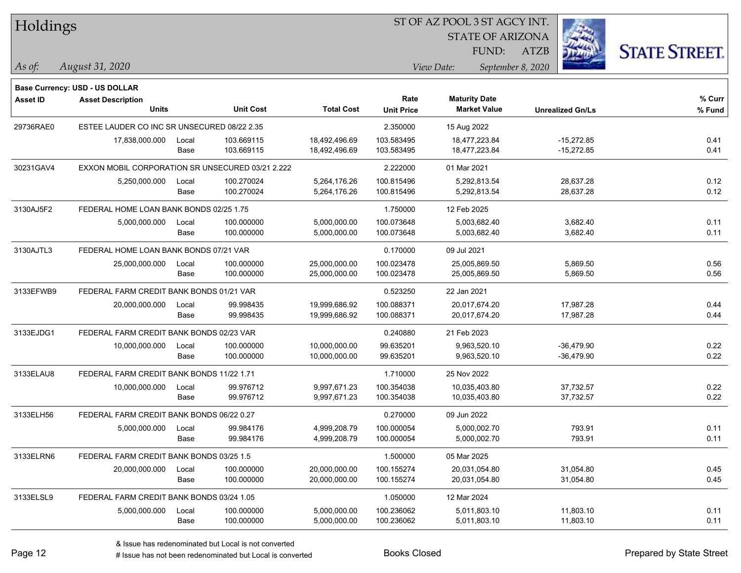| Holdings        |                                                  |       |                  |                   |                   | ST OF AZ POOL 3 ST AGCY INT. |                         |                      |  |
|-----------------|--------------------------------------------------|-------|------------------|-------------------|-------------------|------------------------------|-------------------------|----------------------|--|
|                 |                                                  |       |                  |                   |                   | <b>STATE OF ARIZONA</b>      |                         |                      |  |
|                 |                                                  |       |                  |                   |                   | FUND:                        | <b>ATZB</b>             | <b>STATE STREET.</b> |  |
| $ As\;of:$      | August 31, 2020                                  |       |                  |                   |                   | View Date:                   | September 8, 2020       |                      |  |
|                 | <b>Base Currency: USD - US DOLLAR</b>            |       |                  |                   |                   |                              |                         |                      |  |
| <b>Asset ID</b> | <b>Asset Description</b>                         |       |                  |                   | Rate              | <b>Maturity Date</b>         |                         | $%$ Curr             |  |
|                 | <b>Units</b>                                     |       | <b>Unit Cost</b> | <b>Total Cost</b> | <b>Unit Price</b> | <b>Market Value</b>          | <b>Unrealized Gn/Ls</b> | % Fund               |  |
| 29736RAE0       | ESTEE LAUDER CO INC SR UNSECURED 08/22 2.35      |       |                  |                   | 2.350000          | 15 Aug 2022                  |                         |                      |  |
|                 | 17,838,000.000                                   | Local | 103.669115       | 18,492,496.69     | 103.583495        | 18,477,223.84                | $-15,272.85$            | 0.41                 |  |
|                 |                                                  | Base  | 103.669115       | 18,492,496.69     | 103.583495        | 18,477,223.84                | $-15,272.85$            | 0.41                 |  |
| 30231GAV4       | EXXON MOBIL CORPORATION SR UNSECURED 03/21 2.222 |       |                  |                   | 2.222000          | 01 Mar 2021                  |                         |                      |  |
|                 | 5,250,000.000                                    | Local | 100.270024       | 5,264,176.26      | 100.815496        | 5,292,813.54                 | 28,637.28               | 0.12                 |  |
|                 |                                                  | Base  | 100.270024       | 5,264,176.26      | 100.815496        | 5,292,813.54                 | 28,637.28               | 0.12                 |  |
| 3130AJ5F2       | FEDERAL HOME LOAN BANK BONDS 02/25 1.75          |       |                  |                   | 1.750000          | 12 Feb 2025                  |                         |                      |  |
|                 | 5,000,000.000                                    | Local | 100.000000       | 5,000,000.00      | 100.073648        | 5,003,682.40                 | 3,682.40                | 0.11                 |  |
|                 |                                                  | Base  | 100.000000       | 5,000,000.00      | 100.073648        | 5,003,682.40                 | 3,682.40                | 0.11                 |  |
| 3130AJTL3       | FEDERAL HOME LOAN BANK BONDS 07/21 VAR           |       |                  |                   | 0.170000          | 09 Jul 2021                  |                         |                      |  |
|                 | 25,000,000.000                                   | Local | 100.000000       | 25,000,000.00     | 100.023478        | 25,005,869.50                | 5,869.50                | 0.56                 |  |
|                 |                                                  | Base  | 100.000000       | 25,000,000.00     | 100.023478        | 25,005,869.50                | 5,869.50                | 0.56                 |  |
| 3133EFWB9       | FEDERAL FARM CREDIT BANK BONDS 01/21 VAR         |       |                  |                   | 0.523250          | 22 Jan 2021                  |                         |                      |  |
|                 | 20,000,000.000                                   | Local | 99.998435        | 19,999,686.92     | 100.088371        | 20,017,674.20                | 17,987.28               | 0.44                 |  |
|                 |                                                  | Base  | 99.998435        | 19,999,686.92     | 100.088371        | 20,017,674.20                | 17,987.28               | 0.44                 |  |
| 3133EJDG1       | FEDERAL FARM CREDIT BANK BONDS 02/23 VAR         |       |                  |                   | 0.240880          | 21 Feb 2023                  |                         |                      |  |
|                 | 10,000,000.000                                   | Local | 100.000000       | 10,000,000.00     | 99.635201         | 9,963,520.10                 | $-36,479.90$            | 0.22                 |  |
|                 |                                                  | Base  | 100.000000       | 10,000,000.00     | 99.635201         | 9,963,520.10                 | $-36,479.90$            | 0.22                 |  |
| 3133ELAU8       | FEDERAL FARM CREDIT BANK BONDS 11/22 1.71        |       |                  |                   | 1.710000          | 25 Nov 2022                  |                         |                      |  |
|                 | 10,000,000.000                                   | Local | 99.976712        | 9,997,671.23      | 100.354038        | 10,035,403.80                | 37,732.57               | 0.22                 |  |
|                 |                                                  | Base  | 99.976712        | 9,997,671.23      | 100.354038        | 10,035,403.80                | 37,732.57               | 0.22                 |  |
| 3133ELH56       | FEDERAL FARM CREDIT BANK BONDS 06/22 0.27        |       |                  |                   | 0.270000          | 09 Jun 2022                  |                         |                      |  |
|                 | 5,000,000.000                                    | Local | 99.984176        | 4,999,208.79      | 100.000054        | 5,000,002.70                 | 793.91                  | 0.11                 |  |
|                 |                                                  | Base  | 99.984176        | 4,999,208.79      | 100.000054        | 5,000,002.70                 | 793.91                  | 0.11                 |  |
| 3133ELRN6       | FEDERAL FARM CREDIT BANK BONDS 03/25 1.5         |       |                  |                   | 1.500000          | 05 Mar 2025                  |                         |                      |  |
|                 | 20,000,000.000                                   | Local | 100.000000       | 20,000,000.00     | 100.155274        | 20,031,054.80                | 31,054.80               | 0.45                 |  |
|                 |                                                  | Base  | 100.000000       | 20,000,000.00     | 100.155274        | 20,031,054.80                | 31,054.80               | 0.45                 |  |
| 3133ELSL9       | FEDERAL FARM CREDIT BANK BONDS 03/24 1.05        |       |                  |                   | 1.050000          | 12 Mar 2024                  |                         |                      |  |
|                 | 5,000,000.000                                    | Local | 100.000000       | 5,000,000.00      | 100.236062        | 5,011,803.10                 | 11,803.10               | 0.11                 |  |
|                 |                                                  | Base  | 100.000000       | 5,000,000.00      | 100.236062        | 5,011,803.10                 | 11,803.10               | 0.11                 |  |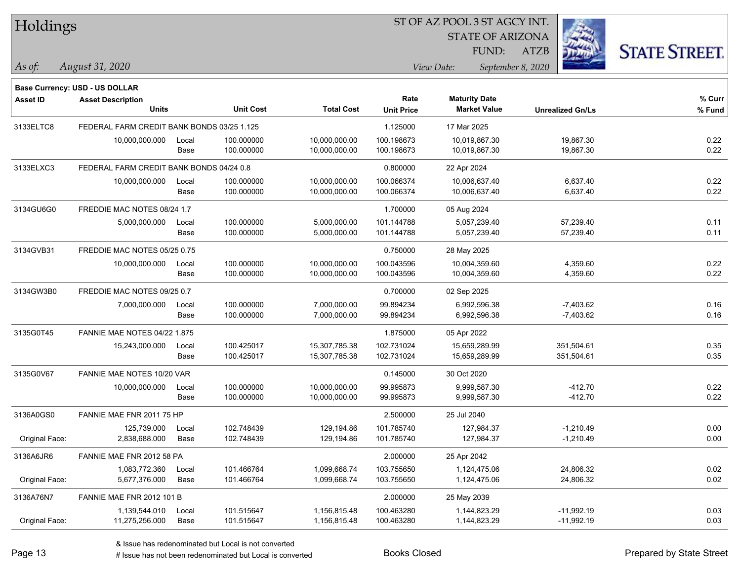| Holdings        |                                            |       |                  |                   |                   | ST OF AZ POOL 3 ST AGCY INT. |                         |                      |
|-----------------|--------------------------------------------|-------|------------------|-------------------|-------------------|------------------------------|-------------------------|----------------------|
|                 |                                            |       |                  |                   |                   | <b>STATE OF ARIZONA</b>      |                         |                      |
|                 |                                            |       |                  |                   |                   | FUND:                        | <b>ATZB</b>             | <b>STATE STREET.</b> |
| As of:          | August 31, 2020                            |       |                  |                   |                   | View Date:                   | September 8, 2020       |                      |
|                 | Base Currency: USD - US DOLLAR             |       |                  |                   |                   |                              |                         |                      |
| <b>Asset ID</b> | <b>Asset Description</b>                   |       |                  |                   | Rate              | <b>Maturity Date</b>         |                         | $%$ Curr             |
|                 | <b>Units</b>                               |       | <b>Unit Cost</b> | <b>Total Cost</b> | <b>Unit Price</b> | <b>Market Value</b>          | <b>Unrealized Gn/Ls</b> | % Fund               |
| 3133ELTC8       | FEDERAL FARM CREDIT BANK BONDS 03/25 1.125 |       |                  |                   | 1.125000          | 17 Mar 2025                  |                         |                      |
|                 | 10,000,000.000                             | Local | 100.000000       | 10,000,000.00     | 100.198673        | 10.019.867.30                | 19,867.30               | 0.22                 |
|                 |                                            | Base  | 100.000000       | 10,000,000.00     | 100.198673        | 10,019,867.30                | 19,867.30               | 0.22                 |
| 3133ELXC3       | FEDERAL FARM CREDIT BANK BONDS 04/24 0.8   |       |                  |                   | 0.800000          | 22 Apr 2024                  |                         |                      |
|                 | 10,000,000.000                             | Local | 100.000000       | 10,000,000.00     | 100.066374        | 10,006,637.40                | 6,637.40                | 0.22                 |
|                 |                                            | Base  | 100.000000       | 10,000,000.00     | 100.066374        | 10,006,637.40                | 6,637.40                | 0.22                 |
| 3134GU6G0       | FREDDIE MAC NOTES 08/24 1.7                |       |                  |                   | 1.700000          | 05 Aug 2024                  |                         |                      |
|                 | 5,000,000.000                              | Local | 100.000000       | 5,000,000.00      | 101.144788        | 5,057,239.40                 | 57,239.40               | 0.11                 |
|                 |                                            | Base  | 100.000000       | 5,000,000.00      | 101.144788        | 5,057,239.40                 | 57,239.40               | 0.11                 |
| 3134GVB31       | FREDDIE MAC NOTES 05/25 0.75               |       |                  |                   | 0.750000          | 28 May 2025                  |                         |                      |
|                 | 10,000,000.000                             | Local | 100.000000       | 10,000,000.00     | 100.043596        | 10,004,359.60                | 4,359.60                | 0.22                 |
|                 |                                            | Base  | 100.000000       | 10,000,000.00     | 100.043596        | 10,004,359.60                | 4,359.60                | 0.22                 |
| 3134GW3B0       | FREDDIE MAC NOTES 09/25 0.7                |       |                  |                   | 0.700000          | 02 Sep 2025                  |                         |                      |
|                 | 7,000,000.000                              | Local | 100.000000       | 7,000,000.00      | 99.894234         | 6,992,596.38                 | $-7,403.62$             | 0.16                 |
|                 |                                            | Base  | 100.000000       | 7,000,000.00      | 99.894234         | 6,992,596.38                 | $-7,403.62$             | 0.16                 |
| 3135G0T45       | <b>FANNIE MAE NOTES 04/22 1.875</b>        |       |                  |                   | 1.875000          | 05 Apr 2022                  |                         |                      |
|                 | 15,243,000.000                             | Local | 100.425017       | 15,307,785.38     | 102.731024        | 15,659,289.99                | 351,504.61              | 0.35                 |
|                 |                                            | Base  | 100.425017       | 15,307,785.38     | 102.731024        | 15,659,289.99                | 351,504.61              | 0.35                 |
| 3135G0V67       | FANNIE MAE NOTES 10/20 VAR                 |       |                  |                   | 0.145000          | 30 Oct 2020                  |                         |                      |
|                 | 10,000,000.000                             | Local | 100.000000       | 10,000,000.00     | 99.995873         | 9,999,587.30                 | $-412.70$               | 0.22                 |
|                 |                                            | Base  | 100.000000       | 10,000,000.00     | 99.995873         | 9,999,587.30                 | $-412.70$               | 0.22                 |
| 3136A0GS0       | FANNIE MAE FNR 2011 75 HP                  |       |                  |                   | 2.500000          | 25 Jul 2040                  |                         |                      |
|                 | 125,739.000                                | Local | 102.748439       | 129,194.86        | 101.785740        | 127,984.37                   | $-1,210.49$             | 0.00                 |
| Original Face:  | 2,838,688.000                              | Base  | 102.748439       | 129,194.86        | 101.785740        | 127,984.37                   | $-1,210.49$             | 0.00                 |
| 3136A6JR6       | FANNIE MAE FNR 2012 58 PA                  |       |                  |                   | 2.000000          | 25 Apr 2042                  |                         |                      |
|                 | 1,083,772.360                              | Local | 101.466764       | 1,099,668.74      | 103.755650        | 1,124,475.06                 | 24,806.32               | 0.02                 |
| Original Face:  | 5,677,376.000                              | Base  | 101.466764       | 1,099,668.74      | 103.755650        | 1,124,475.06                 | 24,806.32               | 0.02                 |
| 3136A76N7       | FANNIE MAE FNR 2012 101 B                  |       |                  |                   | 2.000000          | 25 May 2039                  |                         |                      |
|                 | 1,139,544.010                              | Local | 101.515647       | 1,156,815.48      | 100.463280        | 1,144,823.29                 | $-11,992.19$            | 0.03                 |
| Original Face:  | 11,275,256.000                             | Base  | 101.515647       | 1,156,815.48      | 100.463280        | 1,144,823.29                 | $-11,992.19$            | 0.03                 |

 $\overline{\phantom{a}}$ 

 $\overline{\phantom{a}}$ 

 $\overline{\phantom{0}}$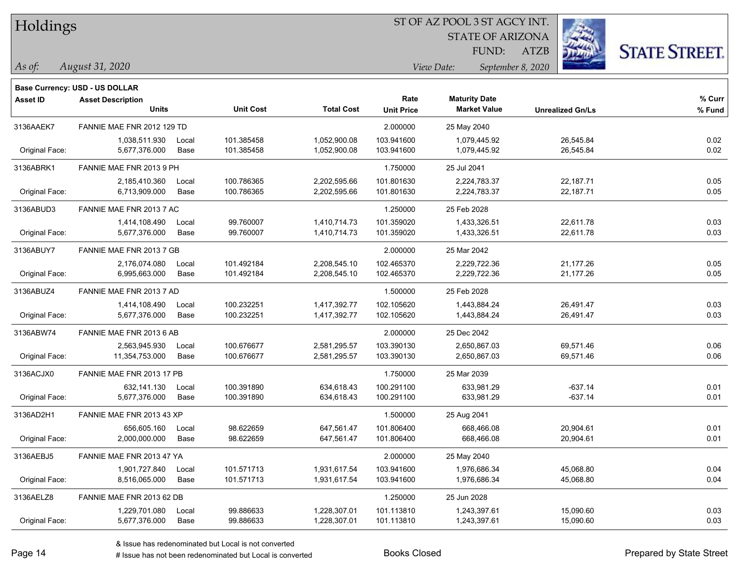#### ST OF AZ POOL 3 ST AGCY INT.

STATE OF ARIZONA

ATZB



**Base Currency: USD - US DOLLAR**

| <b>Asset ID</b> | <b>Asset Description</b>   |       |                  |                   | Rate              | <b>Maturity Date</b> |                         | % Curr |
|-----------------|----------------------------|-------|------------------|-------------------|-------------------|----------------------|-------------------------|--------|
|                 | <b>Units</b>               |       | <b>Unit Cost</b> | <b>Total Cost</b> | <b>Unit Price</b> | <b>Market Value</b>  | <b>Unrealized Gn/Ls</b> | % Fund |
| 3136AAEK7       | FANNIE MAE FNR 2012 129 TD |       |                  |                   | 2.000000          | 25 May 2040          |                         |        |
|                 | 1,038,511.930              | Local | 101.385458       | 1,052,900.08      | 103.941600        | 1,079,445.92         | 26,545.84               | 0.02   |
| Original Face:  | 5,677,376.000              | Base  | 101.385458       | 1,052,900.08      | 103.941600        | 1,079,445.92         | 26,545.84               | 0.02   |
| 3136ABRK1       | FANNIE MAE FNR 2013 9 PH   |       |                  |                   | 1.750000          | 25 Jul 2041          |                         |        |
|                 | 2,185,410.360              | Local | 100.786365       | 2,202,595.66      | 101.801630        | 2,224,783.37         | 22,187.71               | 0.05   |
| Original Face:  | 6,713,909.000              | Base  | 100.786365       | 2,202,595.66      | 101.801630        | 2,224,783.37         | 22,187.71               | 0.05   |
| 3136ABUD3       | FANNIE MAE FNR 2013 7 AC   |       |                  |                   | 1.250000          | 25 Feb 2028          |                         |        |
|                 | 1,414,108.490              | Local | 99.760007        | 1,410,714.73      | 101.359020        | 1,433,326.51         | 22,611.78               | 0.03   |
| Original Face:  | 5,677,376.000              | Base  | 99.760007        | 1,410,714.73      | 101.359020        | 1,433,326.51         | 22,611.78               | 0.03   |
| 3136ABUY7       | FANNIE MAE FNR 2013 7 GB   |       |                  |                   | 2.000000          | 25 Mar 2042          |                         |        |
|                 | 2,176,074.080              | Local | 101.492184       | 2,208,545.10      | 102.465370        | 2,229,722.36         | 21,177.26               | 0.05   |
| Original Face:  | 6,995,663.000              | Base  | 101.492184       | 2,208,545.10      | 102.465370        | 2,229,722.36         | 21,177.26               | 0.05   |
| 3136ABUZ4       | FANNIE MAE FNR 2013 7 AD   |       |                  |                   | 1.500000          | 25 Feb 2028          |                         |        |
|                 | 1,414,108.490              | Local | 100.232251       | 1,417,392.77      | 102.105620        | 1,443,884.24         | 26,491.47               | 0.03   |
| Original Face:  | 5,677,376.000              | Base  | 100.232251       | 1,417,392.77      | 102.105620        | 1,443,884.24         | 26,491.47               | 0.03   |
| 3136ABW74       | FANNIE MAE FNR 2013 6 AB   |       |                  |                   | 2.000000          | 25 Dec 2042          |                         |        |
|                 | 2,563,945.930              | Local | 100.676677       | 2,581,295.57      | 103.390130        | 2,650,867.03         | 69,571.46               | 0.06   |
| Original Face:  | 11,354,753.000             | Base  | 100.676677       | 2,581,295.57      | 103.390130        | 2,650,867.03         | 69,571.46               | 0.06   |
| 3136ACJX0       | FANNIE MAE FNR 2013 17 PB  |       |                  |                   | 1.750000          | 25 Mar 2039          |                         |        |
|                 | 632.141.130                | Local | 100.391890       | 634,618.43        | 100.291100        | 633.981.29           | $-637.14$               | 0.01   |
| Original Face:  | 5,677,376.000              | Base  | 100.391890       | 634,618.43        | 100.291100        | 633,981.29           | $-637.14$               | 0.01   |
| 3136AD2H1       | FANNIE MAE FNR 2013 43 XP  |       |                  |                   | 1.500000          | 25 Aug 2041          |                         |        |
|                 | 656,605.160                | Local | 98.622659        | 647,561.47        | 101.806400        | 668,466.08           | 20,904.61               | 0.01   |
| Original Face:  | 2,000,000.000              | Base  | 98.622659        | 647,561.47        | 101.806400        | 668,466.08           | 20,904.61               | 0.01   |
| 3136AEBJ5       | FANNIE MAE FNR 2013 47 YA  |       |                  |                   | 2.000000          | 25 May 2040          |                         |        |
|                 | 1,901,727.840              | Local | 101.571713       | 1,931,617.54      | 103.941600        | 1,976,686.34         | 45,068.80               | 0.04   |
| Original Face:  | 8,516,065.000              | Base  | 101.571713       | 1,931,617.54      | 103.941600        | 1,976,686.34         | 45,068.80               | 0.04   |
| 3136AELZ8       | FANNIE MAE FNR 2013 62 DB  |       |                  |                   | 1.250000          | 25 Jun 2028          |                         |        |
|                 | 1,229,701.080              | Local | 99.886633        | 1,228,307.01      | 101.113810        | 1,243,397.61         | 15,090.60               | 0.03   |
| Original Face:  | 5,677,376.000              | Base  | 99.886633        | 1,228,307.01      | 101.113810        | 1,243,397.61         | 15,090.60               | 0.03   |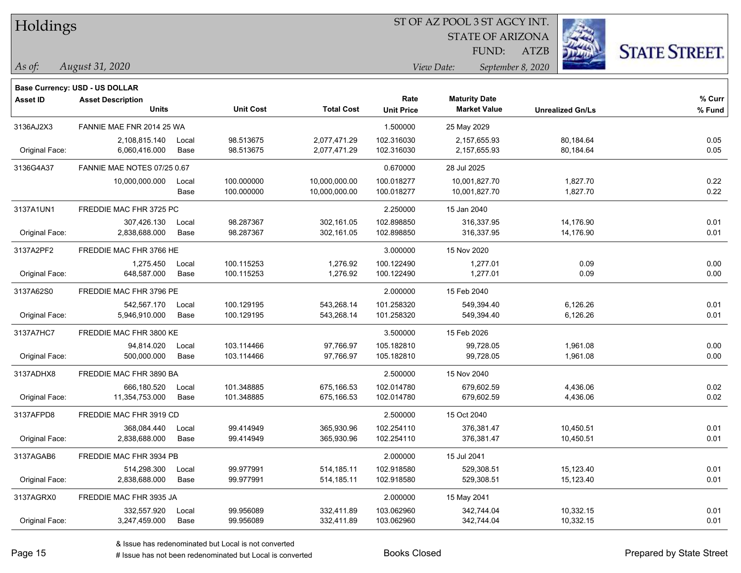| Holdings |
|----------|
|          |

STATE OF ARIZONA FUND:

ATZB



*As of: View Date: September 8, 2020*

| As of: | August 31, 2020 |
|--------|-----------------|
|        |                 |

|                | Base Currency: USD - US DOLLAR           |       |                  |                   |                           |                                             |                         |                    |
|----------------|------------------------------------------|-------|------------------|-------------------|---------------------------|---------------------------------------------|-------------------------|--------------------|
| Asset ID       | <b>Asset Description</b><br><b>Units</b> |       | <b>Unit Cost</b> | <b>Total Cost</b> | Rate<br><b>Unit Price</b> | <b>Maturity Date</b><br><b>Market Value</b> | <b>Unrealized Gn/Ls</b> | $%$ Curr<br>% Fund |
| 3136AJ2X3      | FANNIE MAE FNR 2014 25 WA                |       |                  |                   | 1.500000                  | 25 May 2029                                 |                         |                    |
|                | 2,108,815.140                            | Local | 98.513675        | 2,077,471.29      | 102.316030                | 2,157,655.93                                | 80,184.64               | 0.05               |
| Original Face: | 6,060,416.000                            | Base  | 98.513675        | 2,077,471.29      | 102.316030                | 2,157,655.93                                | 80,184.64               | 0.05               |
| 3136G4A37      | FANNIE MAE NOTES 07/25 0.67              |       |                  |                   | 0.670000                  | 28 Jul 2025                                 |                         |                    |
|                | 10,000,000.000                           | Local | 100.000000       | 10,000,000.00     | 100.018277                | 10,001,827.70                               | 1,827.70                | 0.22               |
|                |                                          | Base  | 100.000000       | 10,000,000.00     | 100.018277                | 10,001,827.70                               | 1,827.70                | 0.22               |
| 3137A1UN1      | FREDDIE MAC FHR 3725 PC                  |       |                  |                   | 2.250000                  | 15 Jan 2040                                 |                         |                    |
|                | 307,426.130                              | Local | 98.287367        | 302,161.05        | 102.898850                | 316,337.95                                  | 14,176.90               | 0.01               |
| Original Face: | 2,838,688.000                            | Base  | 98.287367        | 302,161.05        | 102.898850                | 316,337.95                                  | 14,176.90               | 0.01               |
| 3137A2PF2      | FREDDIE MAC FHR 3766 HE                  |       |                  |                   | 3.000000                  | 15 Nov 2020                                 |                         |                    |
|                | 1,275.450                                | Local | 100.115253       | 1,276.92          | 100.122490                | 1,277.01                                    | 0.09                    | 0.00               |
| Original Face: | 648,587.000                              | Base  | 100.115253       | 1,276.92          | 100.122490                | 1,277.01                                    | 0.09                    | 0.00               |
| 3137A62S0      | FREDDIE MAC FHR 3796 PE                  |       |                  |                   | 2.000000                  | 15 Feb 2040                                 |                         |                    |
|                | 542,567.170                              | Local | 100.129195       | 543,268.14        | 101.258320                | 549,394.40                                  | 6,126.26                | 0.01               |
| Original Face: | 5,946,910.000                            | Base  | 100.129195       | 543,268.14        | 101.258320                | 549,394.40                                  | 6,126.26                | 0.01               |
| 3137A7HC7      | FREDDIE MAC FHR 3800 KE                  |       |                  |                   | 3.500000                  | 15 Feb 2026                                 |                         |                    |
|                | 94,814.020                               | Local | 103.114466       | 97,766.97         | 105.182810                | 99,728.05                                   | 1,961.08                | 0.00               |
| Original Face: | 500,000.000                              | Base  | 103.114466       | 97,766.97         | 105.182810                | 99,728.05                                   | 1,961.08                | 0.00               |
| 3137ADHX8      | FREDDIE MAC FHR 3890 BA                  |       |                  |                   | 2.500000                  | 15 Nov 2040                                 |                         |                    |
|                | 666,180.520                              | Local | 101.348885       | 675,166.53        | 102.014780                | 679,602.59                                  | 4,436.06                | 0.02               |
| Original Face: | 11,354,753.000                           | Base  | 101.348885       | 675,166.53        | 102.014780                | 679,602.59                                  | 4,436.06                | 0.02               |
| 3137AFPD8      | FREDDIE MAC FHR 3919 CD                  |       |                  |                   | 2.500000                  | 15 Oct 2040                                 |                         |                    |
|                | 368,084.440                              | Local | 99.414949        | 365,930.96        | 102.254110                | 376,381.47                                  | 10,450.51               | 0.01               |
| Original Face: | 2,838,688.000                            | Base  | 99.414949        | 365,930.96        | 102.254110                | 376,381.47                                  | 10,450.51               | 0.01               |
| 3137AGAB6      | FREDDIE MAC FHR 3934 PB                  |       |                  |                   | 2.000000                  | 15 Jul 2041                                 |                         |                    |
|                | 514,298.300                              | Local | 99.977991        | 514,185.11        | 102.918580                | 529,308.51                                  | 15,123.40               | 0.01               |
| Original Face: | 2,838,688.000                            | Base  | 99.977991        | 514,185.11        | 102.918580                | 529,308.51                                  | 15,123.40               | 0.01               |
| 3137AGRX0      | FREDDIE MAC FHR 3935 JA                  |       |                  |                   | 2.000000                  | 15 May 2041                                 |                         |                    |
|                | 332,557.920                              | Local | 99.956089        | 332,411.89        | 103.062960                | 342,744.04                                  | 10,332.15               | 0.01               |
| Original Face: | 3,247,459.000                            | Base  | 99.956089        | 332,411.89        | 103.062960                | 342,744.04                                  | 10,332.15               | 0.01               |
|                |                                          |       |                  |                   |                           |                                             |                         |                    |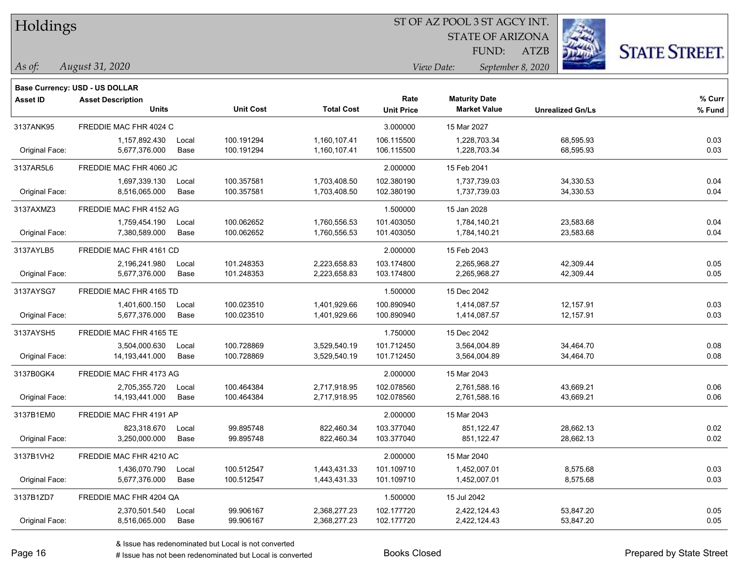| Holdings |
|----------|
|          |

STATE OF ARIZONA FUND:

ATZB



*As of: View Date: September 8, 2020*

| As of: | August 31, 2020 |  |
|--------|-----------------|--|
|        |                 |  |

|                 | <b>Base Currency: USD - US DOLLAR</b> |       |                  |                   |                   |                      |                         |        |
|-----------------|---------------------------------------|-------|------------------|-------------------|-------------------|----------------------|-------------------------|--------|
| <b>Asset ID</b> | <b>Asset Description</b>              |       |                  |                   | Rate              | <b>Maturity Date</b> |                         | % Curr |
|                 | <b>Units</b>                          |       | <b>Unit Cost</b> | <b>Total Cost</b> | <b>Unit Price</b> | <b>Market Value</b>  | <b>Unrealized Gn/Ls</b> | % Fund |
| 3137ANK95       | FREDDIE MAC FHR 4024 C                |       |                  |                   | 3.000000          | 15 Mar 2027          |                         |        |
|                 | 1,157,892.430                         | Local | 100.191294       | 1,160,107.41      | 106.115500        | 1,228,703.34         | 68,595.93               | 0.03   |
| Original Face:  | 5,677,376.000                         | Base  | 100.191294       | 1,160,107.41      | 106.115500        | 1,228,703.34         | 68,595.93               | 0.03   |
| 3137AR5L6       | FREDDIE MAC FHR 4060 JC               |       |                  |                   | 2.000000          | 15 Feb 2041          |                         |        |
|                 | 1,697,339.130                         | Local | 100.357581       | 1,703,408.50      | 102.380190        | 1,737,739.03         | 34,330.53               | 0.04   |
| Original Face:  | 8,516,065.000                         | Base  | 100.357581       | 1,703,408.50      | 102.380190        | 1,737,739.03         | 34,330.53               | 0.04   |
| 3137AXMZ3       | FREDDIE MAC FHR 4152 AG               |       |                  |                   | 1.500000          | 15 Jan 2028          |                         |        |
|                 | 1,759,454.190                         | Local | 100.062652       | 1,760,556.53      | 101.403050        | 1,784,140.21         | 23,583.68               | 0.04   |
| Original Face:  | 7,380,589.000                         | Base  | 100.062652       | 1,760,556.53      | 101.403050        | 1,784,140.21         | 23,583.68               | 0.04   |
| 3137AYLB5       | FREDDIE MAC FHR 4161 CD               |       |                  |                   | 2.000000          | 15 Feb 2043          |                         |        |
|                 | 2,196,241.980                         | Local | 101.248353       | 2,223,658.83      | 103.174800        | 2,265,968.27         | 42,309.44               | 0.05   |
| Original Face:  | 5,677,376.000                         | Base  | 101.248353       | 2,223,658.83      | 103.174800        | 2,265,968.27         | 42,309.44               | 0.05   |
| 3137AYSG7       | FREDDIE MAC FHR 4165 TD               |       |                  |                   | 1.500000          | 15 Dec 2042          |                         |        |
|                 | 1,401,600.150                         | Local | 100.023510       | 1,401,929.66      | 100.890940        | 1,414,087.57         | 12,157.91               | 0.03   |
| Original Face:  | 5,677,376.000                         | Base  | 100.023510       | 1,401,929.66      | 100.890940        | 1,414,087.57         | 12,157.91               | 0.03   |
| 3137AYSH5       | FREDDIE MAC FHR 4165 TE               |       |                  |                   | 1.750000          | 15 Dec 2042          |                         |        |
|                 | 3,504,000.630                         | Local | 100.728869       | 3,529,540.19      | 101.712450        | 3,564,004.89         | 34,464.70               | 0.08   |
| Original Face:  | 14,193,441.000                        | Base  | 100.728869       | 3,529,540.19      | 101.712450        | 3,564,004.89         | 34,464.70               | 0.08   |
| 3137B0GK4       | FREDDIE MAC FHR 4173 AG               |       |                  |                   | 2.000000          | 15 Mar 2043          |                         |        |
|                 | 2,705,355.720                         | Local | 100.464384       | 2,717,918.95      | 102.078560        | 2,761,588.16         | 43,669.21               | 0.06   |
| Original Face:  | 14, 193, 441.000                      | Base  | 100.464384       | 2,717,918.95      | 102.078560        | 2,761,588.16         | 43,669.21               | 0.06   |
| 3137B1EM0       | FREDDIE MAC FHR 4191 AP               |       |                  |                   | 2.000000          | 15 Mar 2043          |                         |        |
|                 | 823,318.670                           | Local | 99.895748        | 822,460.34        | 103.377040        | 851,122.47           | 28,662.13               | 0.02   |
| Original Face:  | 3,250,000.000                         | Base  | 99.895748        | 822,460.34        | 103.377040        | 851,122.47           | 28,662.13               | 0.02   |
| 3137B1VH2       | FREDDIE MAC FHR 4210 AC               |       |                  |                   | 2.000000          | 15 Mar 2040          |                         |        |
|                 | 1,436,070.790                         | Local | 100.512547       | 1,443,431.33      | 101.109710        | 1,452,007.01         | 8,575.68                | 0.03   |
| Original Face:  | 5,677,376.000                         | Base  | 100.512547       | 1,443,431.33      | 101.109710        | 1,452,007.01         | 8,575.68                | 0.03   |
| 3137B1ZD7       | FREDDIE MAC FHR 4204 QA               |       |                  |                   | 1.500000          | 15 Jul 2042          |                         |        |
|                 | 2,370,501.540                         | Local | 99.906167        | 2,368,277.23      | 102.177720        | 2,422,124.43         | 53,847.20               | 0.05   |
| Original Face:  | 8,516,065.000                         | Base  | 99.906167        | 2,368,277.23      | 102.177720        | 2,422,124.43         | 53,847.20               | 0.05   |
|                 |                                       |       |                  |                   |                   |                      |                         |        |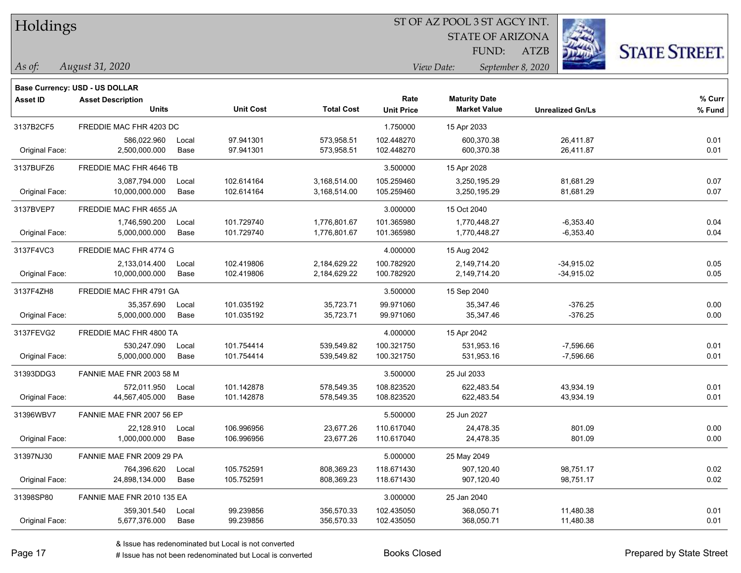| Holdings |
|----------|
|          |

STATE OF ARIZONA

ATZB



**Base Currency: USD - US DOLLAR**

| <b>Asset ID</b> | <b>Asset Description</b><br><b>Units</b> |       | <b>Unit Cost</b> | <b>Total Cost</b> | Rate<br><b>Unit Price</b> | <b>Maturity Date</b><br><b>Market Value</b> | <b>Unrealized Gn/Ls</b> | % Curr<br>% Fund |
|-----------------|------------------------------------------|-------|------------------|-------------------|---------------------------|---------------------------------------------|-------------------------|------------------|
|                 |                                          |       |                  |                   |                           |                                             |                         |                  |
| 3137B2CF5       | FREDDIE MAC FHR 4203 DC                  |       |                  |                   | 1.750000                  | 15 Apr 2033                                 |                         |                  |
|                 | 586,022.960                              | Local | 97.941301        | 573,958.51        | 102.448270                | 600,370.38                                  | 26,411.87               | 0.01             |
| Original Face:  | 2,500,000.000                            | Base  | 97.941301        | 573,958.51        | 102.448270                | 600,370.38                                  | 26,411.87               | 0.01             |
| 3137BUFZ6       | FREDDIE MAC FHR 4646 TB                  |       |                  |                   | 3.500000                  | 15 Apr 2028                                 |                         |                  |
|                 | 3,087,794.000                            | Local | 102.614164       | 3,168,514.00      | 105.259460                | 3,250,195.29                                | 81,681.29               | 0.07             |
| Original Face:  | 10,000,000.000                           | Base  | 102.614164       | 3,168,514.00      | 105.259460                | 3,250,195.29                                | 81,681.29               | 0.07             |
| 3137BVEP7       | FREDDIE MAC FHR 4655 JA                  |       |                  |                   | 3.000000                  | 15 Oct 2040                                 |                         |                  |
|                 | 1,746,590.200                            | Local | 101.729740       | 1,776,801.67      | 101.365980                | 1,770,448.27                                | $-6,353.40$             | 0.04             |
| Original Face:  | 5,000,000.000                            | Base  | 101.729740       | 1,776,801.67      | 101.365980                | 1,770,448.27                                | $-6,353.40$             | 0.04             |
| 3137F4VC3       | FREDDIE MAC FHR 4774 G                   |       |                  |                   | 4.000000                  | 15 Aug 2042                                 |                         |                  |
|                 | 2,133,014.400                            | Local | 102.419806       | 2,184,629.22      | 100.782920                | 2,149,714.20                                | $-34,915.02$            | 0.05             |
| Original Face:  | 10,000,000.000                           | Base  | 102.419806       | 2,184,629.22      | 100.782920                | 2,149,714.20                                | $-34,915.02$            | 0.05             |
| 3137F4ZH8       | FREDDIE MAC FHR 4791 GA                  |       |                  |                   | 3.500000                  | 15 Sep 2040                                 |                         |                  |
|                 | 35,357.690                               | Local | 101.035192       | 35,723.71         | 99.971060                 | 35,347.46                                   | $-376.25$               | 0.00             |
| Original Face:  | 5,000,000.000                            | Base  | 101.035192       | 35,723.71         | 99.971060                 | 35,347.46                                   | $-376.25$               | 0.00             |
| 3137FEVG2       | FREDDIE MAC FHR 4800 TA                  |       |                  |                   | 4.000000                  | 15 Apr 2042                                 |                         |                  |
|                 | 530,247.090                              | Local | 101.754414       | 539,549.82        | 100.321750                | 531,953.16                                  | $-7,596.66$             | 0.01             |
| Original Face:  | 5,000,000.000                            | Base  | 101.754414       | 539,549.82        | 100.321750                | 531,953.16                                  | $-7,596.66$             | 0.01             |
| 31393DDG3       | FANNIE MAE FNR 2003 58 M                 |       |                  |                   | 3.500000                  | 25 Jul 2033                                 |                         |                  |
|                 | 572.011.950                              | Local | 101.142878       | 578,549.35        | 108.823520                | 622.483.54                                  | 43,934.19               | 0.01             |
| Original Face:  | 44,567,405.000                           | Base  | 101.142878       | 578,549.35        | 108.823520                | 622,483.54                                  | 43,934.19               | 0.01             |
| 31396WBV7       | FANNIE MAE FNR 2007 56 EP                |       |                  |                   | 5.500000                  | 25 Jun 2027                                 |                         |                  |
|                 | 22,128.910                               | Local | 106.996956       | 23,677.26         | 110.617040                | 24,478.35                                   | 801.09                  | 0.00             |
| Original Face:  | 1,000,000.000                            | Base  | 106.996956       | 23,677.26         | 110.617040                | 24,478.35                                   | 801.09                  | 0.00             |
| 31397NJ30       | FANNIE MAE FNR 2009 29 PA                |       |                  |                   | 5.000000                  | 25 May 2049                                 |                         |                  |
|                 | 764,396.620                              | Local | 105.752591       | 808,369.23        | 118.671430                | 907,120.40                                  | 98,751.17               | 0.02             |
| Original Face:  | 24,898,134.000                           | Base  | 105.752591       | 808,369.23        | 118.671430                | 907,120.40                                  | 98,751.17               | 0.02             |
| 31398SP80       | FANNIE MAE FNR 2010 135 EA               |       |                  |                   | 3.000000                  | 25 Jan 2040                                 |                         |                  |
|                 | 359,301.540                              | Local | 99.239856        | 356,570.33        | 102.435050                | 368,050.71                                  | 11,480.38               | 0.01             |
| Original Face:  | 5,677,376.000                            | Base  | 99.239856        | 356,570.33        | 102.435050                | 368,050.71                                  | 11,480.38               | 0.01             |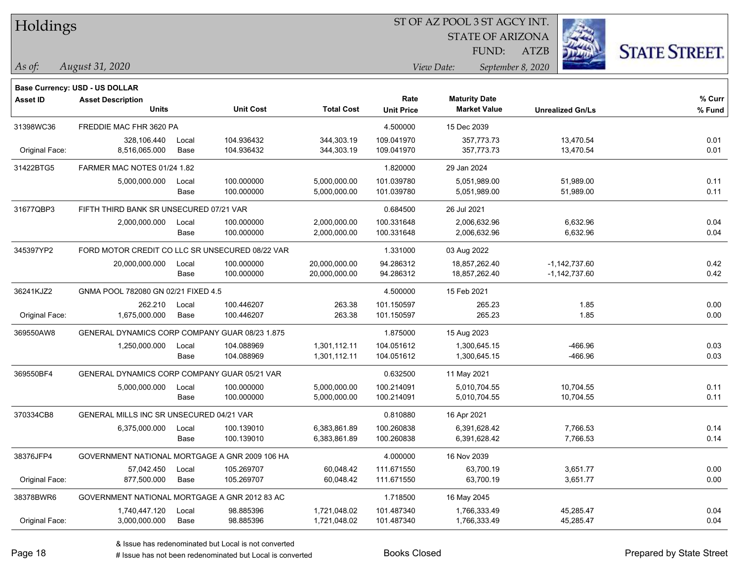| Holdings |
|----------|
|          |

STATE OF ARIZONA

ATZB



|                 | <b>Base Currency: USD - US DOLLAR</b>           |       |                  |                   |                   |                      |                         |        |
|-----------------|-------------------------------------------------|-------|------------------|-------------------|-------------------|----------------------|-------------------------|--------|
| <b>Asset ID</b> | <b>Asset Description</b>                        |       |                  |                   | Rate              | <b>Maturity Date</b> |                         | % Curr |
|                 | <b>Units</b>                                    |       | <b>Unit Cost</b> | <b>Total Cost</b> | <b>Unit Price</b> | <b>Market Value</b>  | <b>Unrealized Gn/Ls</b> | % Fund |
| 31398WC36       | FREDDIE MAC FHR 3620 PA                         |       |                  |                   | 4.500000          | 15 Dec 2039          |                         |        |
|                 | 328,106.440                                     | Local | 104.936432       | 344,303.19        | 109.041970        | 357,773.73           | 13,470.54               | 0.01   |
| Original Face:  | 8,516,065.000                                   | Base  | 104.936432       | 344,303.19        | 109.041970        | 357,773.73           | 13,470.54               | 0.01   |
| 31422BTG5       | FARMER MAC NOTES 01/24 1.82                     |       |                  |                   | 1.820000          | 29 Jan 2024          |                         |        |
|                 | 5,000,000.000                                   | Local | 100.000000       | 5,000,000.00      | 101.039780        | 5,051,989.00         | 51,989.00               | 0.11   |
|                 |                                                 | Base  | 100.000000       | 5,000,000.00      | 101.039780        | 5,051,989.00         | 51,989.00               | 0.11   |
| 31677QBP3       | FIFTH THIRD BANK SR UNSECURED 07/21 VAR         |       |                  |                   | 0.684500          | 26 Jul 2021          |                         |        |
|                 | 2,000,000.000                                   | Local | 100.000000       | 2,000,000.00      | 100.331648        | 2,006,632.96         | 6,632.96                | 0.04   |
|                 |                                                 | Base  | 100.000000       | 2,000,000.00      | 100.331648        | 2,006,632.96         | 6,632.96                | 0.04   |
| 345397YP2       | FORD MOTOR CREDIT CO LLC SR UNSECURED 08/22 VAR |       |                  | 1.331000          | 03 Aug 2022       |                      |                         |        |
|                 | 20,000,000.000                                  | Local | 100.000000       | 20,000,000.00     | 94.286312         | 18,857,262.40        | $-1,142,737.60$         | 0.42   |
|                 |                                                 | Base  | 100.000000       | 20,000,000.00     | 94.286312         | 18,857,262.40        | $-1,142,737.60$         | 0.42   |
| 36241KJZ2       | GNMA POOL 782080 GN 02/21 FIXED 4.5             |       |                  | 4.500000          | 15 Feb 2021       |                      |                         |        |
|                 | 262.210                                         | Local | 100.446207       | 263.38            | 101.150597        | 265.23               | 1.85                    | 0.00   |
| Original Face:  | 1,675,000.000                                   | Base  | 100.446207       | 263.38            | 101.150597        | 265.23               | 1.85                    | 0.00   |
| 369550AW8       | GENERAL DYNAMICS CORP COMPANY GUAR 08/23 1.875  |       |                  | 1.875000          | 15 Aug 2023       |                      |                         |        |
|                 | 1,250,000.000                                   | Local | 104.088969       | 1,301,112.11      | 104.051612        | 1,300,645.15         | -466.96                 | 0.03   |
|                 |                                                 | Base  | 104.088969       | 1,301,112.11      | 104.051612        | 1,300,645.15         | -466.96                 | 0.03   |
| 369550BF4       | GENERAL DYNAMICS CORP COMPANY GUAR 05/21 VAR    |       |                  |                   | 0.632500          | 11 May 2021          |                         |        |
|                 | 5,000,000.000                                   | Local | 100.000000       | 5,000,000.00      | 100.214091        | 5,010,704.55         | 10,704.55               | 0.11   |
|                 |                                                 | Base  | 100.000000       | 5,000,000.00      | 100.214091        | 5,010,704.55         | 10,704.55               | 0.11   |
| 370334CB8       | GENERAL MILLS INC SR UNSECURED 04/21 VAR        |       |                  |                   | 0.810880          | 16 Apr 2021          |                         |        |
|                 | 6,375,000.000                                   | Local | 100.139010       | 6,383,861.89      | 100.260838        | 6,391,628.42         | 7,766.53                | 0.14   |
|                 |                                                 | Base  | 100.139010       | 6,383,861.89      | 100.260838        | 6,391,628.42         | 7,766.53                | 0.14   |
| 38376JFP4       | GOVERNMENT NATIONAL MORTGAGE A GNR 2009 106 HA  |       |                  |                   | 4.000000          | 16 Nov 2039          |                         |        |
|                 | 57,042.450                                      | Local | 105.269707       | 60,048.42         | 111.671550        | 63,700.19            | 3,651.77                | 0.00   |
| Original Face:  | 877,500.000                                     | Base  | 105.269707       | 60,048.42         | 111.671550        | 63,700.19            | 3,651.77                | 0.00   |
| 38378BWR6       | GOVERNMENT NATIONAL MORTGAGE A GNR 2012 83 AC   |       |                  |                   | 1.718500          | 16 May 2045          |                         |        |
|                 | 1,740,447.120                                   | Local | 98.885396        | 1,721,048.02      | 101.487340        | 1,766,333.49         | 45,285.47               | 0.04   |
| Original Face:  | 3,000,000.000                                   | Base  | 98.885396        | 1,721,048.02      | 101.487340        | 1,766,333.49         | 45,285.47               | 0.04   |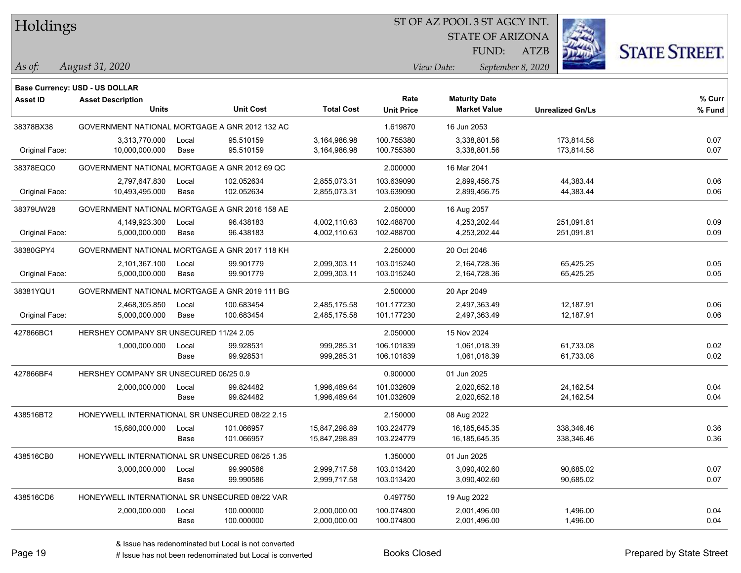#### ST OF AZ POOL 3 ST AGCY INT.

STATE OF ARIZONA

ATZB



**Base Currency: USD - US DOLLAR**

| <b>Asset ID</b> | <b>Asset Description</b><br><b>Units</b>        |               | <b>Unit Cost</b>         | <b>Total Cost</b>              | Rate<br><b>Unit Price</b> | <b>Maturity Date</b><br><b>Market Value</b> | <b>Unrealized Gn/Ls</b>  | $%$ Curr<br>% Fund |
|-----------------|-------------------------------------------------|---------------|--------------------------|--------------------------------|---------------------------|---------------------------------------------|--------------------------|--------------------|
| 38378BX38       | GOVERNMENT NATIONAL MORTGAGE A GNR 2012 132 AC  |               |                          |                                | 1.619870                  | 16 Jun 2053                                 |                          |                    |
| Original Face:  | 3,313,770.000<br>10,000,000.000                 | Local<br>Base | 95.510159<br>95.510159   | 3,164,986.98<br>3,164,986.98   | 100.755380<br>100.755380  | 3,338,801.56<br>3,338,801.56                | 173,814.58<br>173,814.58 | 0.07<br>0.07       |
| 38378EQC0       | GOVERNMENT NATIONAL MORTGAGE A GNR 2012 69 QC   |               |                          |                                | 2.000000                  | 16 Mar 2041                                 |                          |                    |
| Original Face:  | 2,797,647.830<br>10,493,495.000                 | Local<br>Base | 102.052634<br>102.052634 | 2,855,073.31<br>2,855,073.31   | 103.639090<br>103.639090  | 2,899,456.75<br>2,899,456.75                | 44,383.44<br>44,383.44   | 0.06<br>0.06       |
| 38379UW28       | GOVERNMENT NATIONAL MORTGAGE A GNR 2016 158 AE  |               |                          |                                | 2.050000                  | 16 Aug 2057                                 |                          |                    |
| Original Face:  | 4,149,923.300<br>5,000,000.000                  | Local<br>Base | 96.438183<br>96.438183   | 4,002,110.63<br>4,002,110.63   | 102.488700<br>102.488700  | 4,253,202.44<br>4,253,202.44                | 251,091.81<br>251,091.81 | 0.09<br>0.09       |
| 38380GPY4       | GOVERNMENT NATIONAL MORTGAGE A GNR 2017 118 KH  |               |                          |                                | 2.250000                  | 20 Oct 2046                                 |                          |                    |
| Original Face:  | 2,101,367.100<br>5,000,000.000                  | Local<br>Base | 99.901779<br>99.901779   | 2,099,303.11<br>2,099,303.11   | 103.015240<br>103.015240  | 2,164,728.36<br>2,164,728.36                | 65,425.25<br>65,425.25   | 0.05<br>0.05       |
| 38381YQU1       | GOVERNMENT NATIONAL MORTGAGE A GNR 2019 111 BG  |               |                          |                                | 2.500000                  | 20 Apr 2049                                 |                          |                    |
| Original Face:  | 2,468,305.850<br>5,000,000.000                  | Local<br>Base | 100.683454<br>100.683454 | 2,485,175.58<br>2,485,175.58   | 101.177230<br>101.177230  | 2,497,363.49<br>2,497,363.49                | 12,187.91<br>12,187.91   | 0.06<br>0.06       |
| 427866BC1       | HERSHEY COMPANY SR UNSECURED 11/24 2.05         |               |                          |                                | 2.050000                  | 15 Nov 2024                                 |                          |                    |
|                 | 1,000,000.000                                   | Local<br>Base | 99.928531<br>99.928531   | 999,285.31<br>999,285.31       | 106.101839<br>106.101839  | 1,061,018.39<br>1,061,018.39                | 61,733.08<br>61,733.08   | 0.02<br>0.02       |
| 427866BF4       | HERSHEY COMPANY SR UNSECURED 06/25 0.9          |               |                          | 0.900000                       | 01 Jun 2025               |                                             |                          |                    |
|                 | 2,000,000.000                                   | Local<br>Base | 99.824482<br>99.824482   | 1,996,489.64<br>1,996,489.64   | 101.032609<br>101.032609  | 2,020,652.18<br>2,020,652.18                | 24,162.54<br>24,162.54   | 0.04<br>0.04       |
| 438516BT2       | HONEYWELL INTERNATIONAL SR UNSECURED 08/22 2.15 |               |                          |                                | 2.150000                  | 08 Aug 2022                                 |                          |                    |
|                 | 15,680,000.000                                  | Local<br>Base | 101.066957<br>101.066957 | 15,847,298.89<br>15,847,298.89 | 103.224779<br>103.224779  | 16,185,645.35<br>16, 185, 645. 35           | 338,346.46<br>338,346.46 | 0.36<br>0.36       |
| 438516CB0       | HONEYWELL INTERNATIONAL SR UNSECURED 06/25 1.35 |               |                          |                                | 1.350000                  | 01 Jun 2025                                 |                          |                    |
|                 | 3,000,000.000                                   | Local<br>Base | 99.990586<br>99.990586   | 2,999,717.58<br>2,999,717.58   | 103.013420<br>103.013420  | 3,090,402.60<br>3,090,402.60                | 90,685.02<br>90,685.02   | 0.07<br>0.07       |
| 438516CD6       | HONEYWELL INTERNATIONAL SR UNSECURED 08/22 VAR  |               |                          |                                | 0.497750                  | 19 Aug 2022                                 |                          |                    |
|                 | 2,000,000.000                                   | Local<br>Base | 100.000000<br>100.000000 | 2,000,000.00<br>2,000,000.00   | 100.074800<br>100.074800  | 2,001,496.00<br>2,001,496.00                | 1,496.00<br>1,496.00     | 0.04<br>0.04       |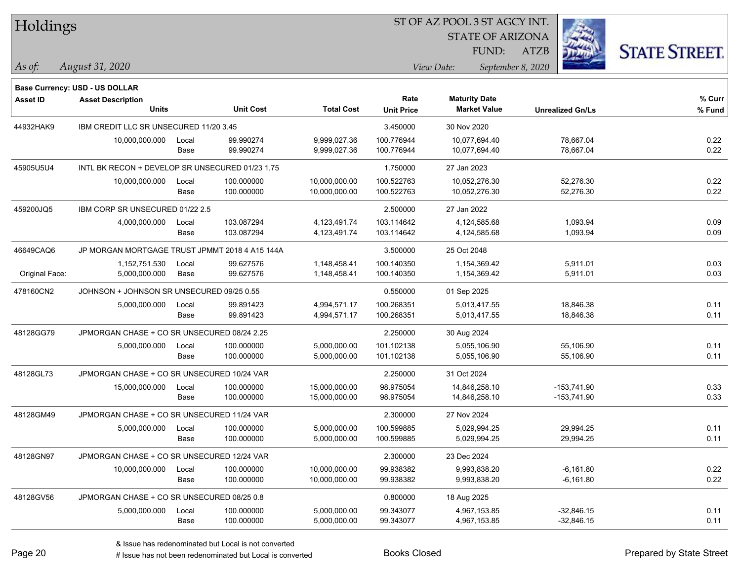| Holdings |
|----------|
|          |

STATE OF ARIZONA

ATZB



**Base Currency: USD - US DOLLAR**

| <b>Asset ID</b> | <b>Asset Description</b><br><b>Units</b>        |               | <b>Unit Cost</b>         | <b>Total Cost</b>              | Rate<br><b>Unit Price</b> | <b>Maturity Date</b><br><b>Market Value</b> | <b>Unrealized Gn/Ls</b>        | % Curr<br>% Fund |
|-----------------|-------------------------------------------------|---------------|--------------------------|--------------------------------|---------------------------|---------------------------------------------|--------------------------------|------------------|
| 44932HAK9       | IBM CREDIT LLC SR UNSECURED 11/20 3.45          |               |                          |                                | 3.450000                  | 30 Nov 2020                                 |                                |                  |
|                 | 10,000,000.000                                  | Local<br>Base | 99.990274<br>99.990274   | 9,999,027.36<br>9,999,027.36   | 100.776944<br>100.776944  | 10,077,694.40<br>10,077,694.40              | 78,667.04<br>78,667.04         | 0.22<br>0.22     |
| 45905U5U4       | INTL BK RECON + DEVELOP SR UNSECURED 01/23 1.75 |               |                          |                                | 1.750000                  | 27 Jan 2023                                 |                                |                  |
|                 | 10,000,000.000                                  | Local<br>Base | 100.000000<br>100.000000 | 10,000,000.00<br>10,000,000.00 | 100.522763<br>100.522763  | 10,052,276.30<br>10,052,276.30              | 52,276.30<br>52,276.30         | 0.22<br>0.22     |
| 459200JQ5       | IBM CORP SR UNSECURED 01/22 2.5                 |               |                          |                                | 2.500000                  | 27 Jan 2022                                 |                                |                  |
|                 | 4,000,000.000                                   | Local<br>Base | 103.087294<br>103.087294 | 4,123,491.74<br>4,123,491.74   | 103.114642<br>103.114642  | 4,124,585.68<br>4,124,585.68                | 1,093.94<br>1,093.94           | 0.09<br>0.09     |
| 46649CAQ6       | JP MORGAN MORTGAGE TRUST JPMMT 2018 4 A15 144A  |               |                          |                                | 3.500000                  | 25 Oct 2048                                 |                                |                  |
| Original Face:  | 1,152,751.530<br>5,000,000.000                  | Local<br>Base | 99.627576<br>99.627576   | 1,148,458.41<br>1,148,458.41   | 100.140350<br>100.140350  | 1,154,369.42<br>1,154,369.42                | 5,911.01<br>5,911.01           | 0.03<br>0.03     |
| 478160CN2       | JOHNSON + JOHNSON SR UNSECURED 09/25 0.55       |               |                          |                                | 0.550000                  | 01 Sep 2025                                 |                                |                  |
|                 | 5,000,000.000                                   | Local<br>Base | 99.891423<br>99.891423   | 4,994,571.17<br>4,994,571.17   | 100.268351<br>100.268351  | 5,013,417.55<br>5,013,417.55                | 18,846.38<br>18,846.38         | 0.11<br>0.11     |
| 48128GG79       | JPMORGAN CHASE + CO SR UNSECURED 08/24 2.25     |               |                          |                                | 2.250000                  | 30 Aug 2024                                 |                                |                  |
|                 | 5,000,000.000                                   | Local<br>Base | 100.000000<br>100.000000 | 5,000,000.00<br>5,000,000.00   | 101.102138<br>101.102138  | 5,055,106.90<br>5,055,106.90                | 55,106.90<br>55,106.90         | 0.11<br>0.11     |
| 48128GL73       | JPMORGAN CHASE + CO SR UNSECURED 10/24 VAR      |               |                          |                                | 2.250000                  | 31 Oct 2024                                 |                                |                  |
|                 | 15,000,000.000                                  | Local<br>Base | 100.000000<br>100.000000 | 15,000,000.00<br>15,000,000.00 | 98.975054<br>98.975054    | 14,846,258.10<br>14,846,258.10              | $-153,741.90$<br>$-153,741.90$ | 0.33<br>0.33     |
| 48128GM49       | JPMORGAN CHASE + CO SR UNSECURED 11/24 VAR      |               |                          |                                | 2.300000                  | 27 Nov 2024                                 |                                |                  |
|                 | 5,000,000.000                                   | Local<br>Base | 100.000000<br>100.000000 | 5,000,000.00<br>5,000,000.00   | 100.599885<br>100.599885  | 5,029,994.25<br>5,029,994.25                | 29,994.25<br>29,994.25         | 0.11<br>0.11     |
| 48128GN97       | JPMORGAN CHASE + CO SR UNSECURED 12/24 VAR      |               |                          |                                | 2.300000                  | 23 Dec 2024                                 |                                |                  |
|                 | 10,000,000.000                                  | Local<br>Base | 100.000000<br>100.000000 | 10,000,000.00<br>10,000,000.00 | 99.938382<br>99.938382    | 9,993,838.20<br>9,993,838.20                | $-6,161.80$<br>$-6,161.80$     | 0.22<br>0.22     |
| 48128GV56       | JPMORGAN CHASE + CO SR UNSECURED 08/25 0.8      |               |                          |                                | 0.800000                  | 18 Aug 2025                                 |                                |                  |
|                 | 5,000,000.000                                   | Local<br>Base | 100.000000<br>100.000000 | 5,000,000.00<br>5,000,000.00   | 99.343077<br>99.343077    | 4,967,153.85<br>4,967,153.85                | $-32,846.15$<br>$-32,846.15$   | 0.11<br>0.11     |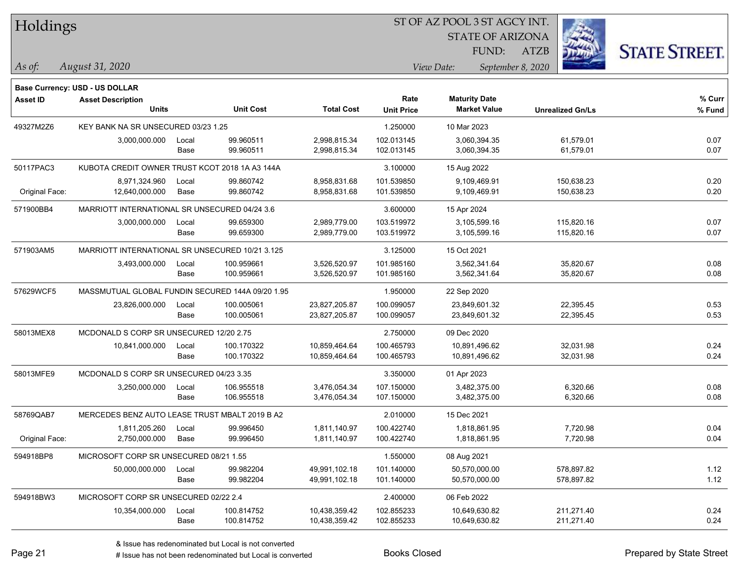| Holdings |
|----------|
|----------|

STATE OF ARIZONA

ATZB



**Base Currency: USD - US DOLLAR**

*August 31, 2020 As of: View Date: September 8, 2020* FUND:

| <b>Asset ID</b> | <b>Asset Description</b>                         |       |                  |                   | Rate              | <b>Maturity Date</b> |                         | % Curr |
|-----------------|--------------------------------------------------|-------|------------------|-------------------|-------------------|----------------------|-------------------------|--------|
|                 | <b>Units</b>                                     |       | <b>Unit Cost</b> | <b>Total Cost</b> | <b>Unit Price</b> | <b>Market Value</b>  | <b>Unrealized Gn/Ls</b> | % Fund |
| 49327M2Z6       | KEY BANK NA SR UNSECURED 03/23 1.25              |       |                  | 1.250000          | 10 Mar 2023       |                      |                         |        |
|                 | 3,000,000.000                                    | Local | 99.960511        | 2,998,815.34      | 102.013145        | 3,060,394.35         | 61,579.01               | 0.07   |
|                 |                                                  | Base  | 99.960511        | 2,998,815.34      | 102.013145        | 3,060,394.35         | 61,579.01               | 0.07   |
| 50117PAC3       | KUBOTA CREDIT OWNER TRUST KCOT 2018 1A A3 144A   |       |                  |                   | 3.100000          | 15 Aug 2022          |                         |        |
|                 | 8,971,324.960                                    | Local | 99.860742        | 8,958,831.68      | 101.539850        | 9,109,469.91         | 150,638.23              | 0.20   |
| Original Face:  | 12,640,000.000                                   | Base  | 99.860742        | 8,958,831.68      | 101.539850        | 9,109,469.91         | 150,638.23              | 0.20   |
| 571900BB4       | MARRIOTT INTERNATIONAL SR UNSECURED 04/24 3.6    |       |                  |                   | 3.600000          | 15 Apr 2024          |                         |        |
|                 | 3,000,000.000                                    | Local | 99.659300        | 2,989,779.00      | 103.519972        | 3,105,599.16         | 115,820.16              | 0.07   |
|                 |                                                  | Base  | 99.659300        | 2,989,779.00      | 103.519972        | 3,105,599.16         | 115,820.16              | 0.07   |
| 571903AM5       | MARRIOTT INTERNATIONAL SR UNSECURED 10/21 3.125  |       |                  |                   | 3.125000          | 15 Oct 2021          |                         |        |
|                 | 3,493,000.000                                    | Local | 100.959661       | 3,526,520.97      | 101.985160        | 3,562,341.64         | 35,820.67               | 0.08   |
|                 |                                                  | Base  | 100.959661       | 3,526,520.97      | 101.985160        | 3,562,341.64         | 35,820.67               | 0.08   |
| 57629WCF5       | MASSMUTUAL GLOBAL FUNDIN SECURED 144A 09/20 1.95 |       |                  |                   | 1.950000          | 22 Sep 2020          |                         |        |
|                 | 23,826,000.000                                   | Local | 100.005061       | 23,827,205.87     | 100.099057        | 23,849,601.32        | 22,395.45               | 0.53   |
|                 |                                                  | Base  | 100.005061       | 23,827,205.87     | 100.099057        | 23,849,601.32        | 22,395.45               | 0.53   |
| 58013MEX8       | MCDONALD S CORP SR UNSECURED 12/20 2.75          |       |                  | 2.750000          | 09 Dec 2020       |                      |                         |        |
|                 | 10,841,000.000                                   | Local | 100.170322       | 10,859,464.64     | 100.465793        | 10,891,496.62        | 32,031.98               | 0.24   |
|                 |                                                  | Base  | 100.170322       | 10,859,464.64     | 100.465793        | 10,891,496.62        | 32,031.98               | 0.24   |
| 58013MFE9       | MCDONALD S CORP SR UNSECURED 04/23 3.35          |       |                  |                   | 3.350000          | 01 Apr 2023          |                         |        |
|                 | 3,250,000.000                                    | Local | 106.955518       | 3,476,054.34      | 107.150000        | 3,482,375.00         | 6,320.66                | 0.08   |
|                 |                                                  | Base  | 106.955518       | 3,476,054.34      | 107.150000        | 3,482,375.00         | 6,320.66                | 0.08   |
| 58769QAB7       | MERCEDES BENZ AUTO LEASE TRUST MBALT 2019 B A2   |       |                  |                   | 2.010000          | 15 Dec 2021          |                         |        |
|                 | 1,811,205.260                                    | Local | 99.996450        | 1,811,140.97      | 100.422740        | 1,818,861.95         | 7,720.98                | 0.04   |
| Original Face:  | 2,750,000.000                                    | Base  | 99.996450        | 1,811,140.97      | 100.422740        | 1,818,861.95         | 7,720.98                | 0.04   |
| 594918BP8       | MICROSOFT CORP SR UNSECURED 08/21 1.55           |       |                  |                   | 1.550000          | 08 Aug 2021          |                         |        |
|                 | 50,000,000.000                                   | Local | 99.982204        | 49,991,102.18     | 101.140000        | 50,570,000.00        | 578,897.82              | 1.12   |
|                 |                                                  | Base  | 99.982204        | 49,991,102.18     | 101.140000        | 50,570,000.00        | 578,897.82              | 1.12   |
| 594918BW3       | MICROSOFT CORP SR UNSECURED 02/22 2.4            |       |                  |                   | 2.400000          | 06 Feb 2022          |                         |        |
|                 | 10,354,000.000                                   | Local | 100.814752       | 10,438,359.42     | 102.855233        | 10,649,630.82        | 211,271.40              | 0.24   |
|                 |                                                  | Base  | 100.814752       | 10,438,359.42     | 102.855233        | 10,649,630.82        | 211,271.40              | 0.24   |

A ISSUE ISSUE ISSUE ISSUE ISSUE ISSUE ISSUE ISSUE ISSUE ISSUE ISSUE ISSUE ISSUE ISSUE ISSUE ISSUE ISSUE ISSUE I<br>
# Issue has not been redenominated but Local is converted **BOOKS** Closed **Prepared by State Street**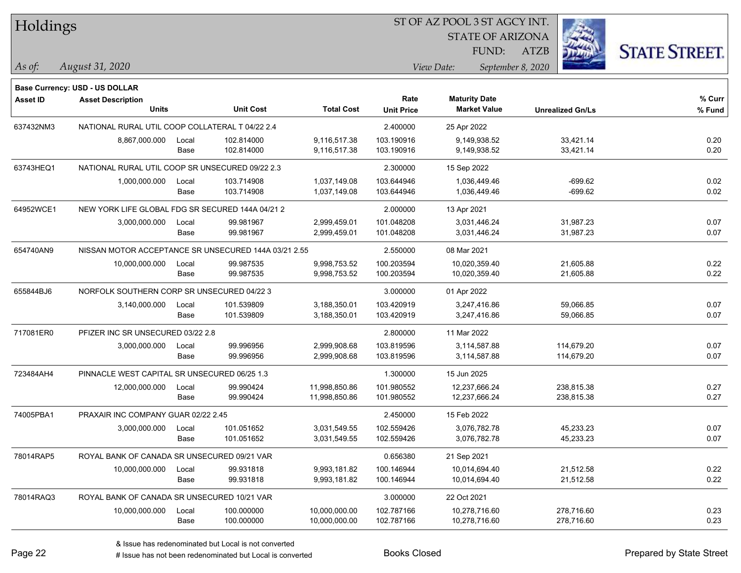| Holdings        |                                                      |       |                  |                   |                   | ST OF AZ POOL 3 ST AGCY INT. |                   |                         |                      |
|-----------------|------------------------------------------------------|-------|------------------|-------------------|-------------------|------------------------------|-------------------|-------------------------|----------------------|
|                 |                                                      |       |                  |                   |                   | <b>STATE OF ARIZONA</b>      |                   |                         |                      |
|                 |                                                      |       |                  |                   |                   | FUND:                        | ATZB              |                         | <b>STATE STREET.</b> |
| As of:          | August 31, 2020                                      |       |                  |                   |                   | View Date:                   | September 8, 2020 |                         |                      |
|                 |                                                      |       |                  |                   |                   |                              |                   |                         |                      |
|                 | <b>Base Currency: USD - US DOLLAR</b>                |       |                  |                   | Rate              | <b>Maturity Date</b>         |                   |                         | $%$ Curr             |
| <b>Asset ID</b> | <b>Asset Description</b><br><b>Units</b>             |       | <b>Unit Cost</b> | <b>Total Cost</b> | <b>Unit Price</b> | <b>Market Value</b>          |                   | <b>Unrealized Gn/Ls</b> | % Fund               |
| 637432NM3       | NATIONAL RURAL UTIL COOP COLLATERAL T 04/22 2.4      |       |                  |                   | 2.400000          | 25 Apr 2022                  |                   |                         |                      |
|                 | 8,867,000.000                                        | Local | 102.814000       | 9,116,517.38      | 103.190916        | 9,149,938.52                 |                   | 33,421.14               | 0.20                 |
|                 |                                                      | Base  | 102.814000       | 9,116,517.38      | 103.190916        | 9,149,938.52                 |                   | 33,421.14               | 0.20                 |
| 63743HEQ1       | NATIONAL RURAL UTIL COOP SR UNSECURED 09/22 2.3      |       |                  |                   | 2.300000          | 15 Sep 2022                  |                   |                         |                      |
|                 | 1,000,000.000                                        | Local | 103.714908       | 1,037,149.08      | 103.644946        | 1,036,449.46                 |                   | $-699.62$               | 0.02                 |
|                 |                                                      | Base  | 103.714908       | 1,037,149.08      | 103.644946        | 1,036,449.46                 |                   | $-699.62$               | 0.02                 |
| 64952WCE1       | NEW YORK LIFE GLOBAL FDG SR SECURED 144A 04/21 2     |       |                  |                   | 2.000000          | 13 Apr 2021                  |                   |                         |                      |
|                 | 3,000,000.000                                        | Local | 99.981967        | 2,999,459.01      | 101.048208        | 3,031,446.24                 |                   | 31,987.23               | 0.07                 |
|                 |                                                      | Base  | 99.981967        | 2,999,459.01      | 101.048208        | 3,031,446.24                 |                   | 31,987.23               | 0.07                 |
| 654740AN9       | NISSAN MOTOR ACCEPTANCE SR UNSECURED 144A 03/21 2.55 |       |                  |                   | 2.550000          | 08 Mar 2021                  |                   |                         |                      |
|                 | 10,000,000.000                                       | Local | 99.987535        | 9,998,753.52      | 100.203594        | 10,020,359.40                |                   | 21,605.88               | 0.22                 |
|                 |                                                      | Base  | 99.987535        | 9,998,753.52      | 100.203594        | 10,020,359.40                |                   | 21,605.88               | 0.22                 |
| 655844BJ6       | NORFOLK SOUTHERN CORP SR UNSECURED 04/22 3           |       |                  |                   | 3.000000          | 01 Apr 2022                  |                   |                         |                      |
|                 | 3,140,000.000                                        | Local | 101.539809       | 3,188,350.01      | 103.420919        | 3,247,416.86                 |                   | 59,066.85               | 0.07                 |
|                 |                                                      | Base  | 101.539809       | 3,188,350.01      | 103.420919        | 3,247,416.86                 |                   | 59,066.85               | 0.07                 |
| 717081ER0       | PFIZER INC SR UNSECURED 03/22 2.8                    |       |                  |                   | 2.800000          | 11 Mar 2022                  |                   |                         |                      |
|                 | 3,000,000.000                                        | Local | 99.996956        | 2,999,908.68      | 103.819596        | 3,114,587.88                 |                   | 114,679.20              | 0.07                 |
|                 |                                                      | Base  | 99.996956        | 2,999,908.68      | 103.819596        | 3,114,587.88                 |                   | 114,679.20              | 0.07                 |
| 723484AH4       | PINNACLE WEST CAPITAL SR UNSECURED 06/25 1.3         |       |                  |                   | 1.300000          | 15 Jun 2025                  |                   |                         |                      |
|                 | 12,000,000.000                                       | Local | 99.990424        | 11,998,850.86     | 101.980552        | 12,237,666.24                |                   | 238,815.38              | 0.27                 |
|                 |                                                      | Base  | 99.990424        | 11,998,850.86     | 101.980552        | 12,237,666.24                |                   | 238,815.38              | 0.27                 |
| 74005PBA1       | PRAXAIR INC COMPANY GUAR 02/22 2.45                  |       |                  |                   | 2.450000          | 15 Feb 2022                  |                   |                         |                      |
|                 | 3,000,000.000                                        | Local | 101.051652       | 3,031,549.55      | 102.559426        | 3,076,782.78                 |                   | 45,233.23               | 0.07                 |
|                 |                                                      | Base  | 101.051652       | 3,031,549.55      | 102.559426        | 3,076,782.78                 |                   | 45,233.23               | 0.07                 |
| 78014RAP5       | ROYAL BANK OF CANADA SR UNSECURED 09/21 VAR          |       |                  |                   | 0.656380          | 21 Sep 2021                  |                   |                         |                      |
|                 | 10,000,000.000                                       | Local | 99.931818        | 9,993,181.82      | 100.146944        | 10,014,694.40                |                   | 21,512.58               | 0.22                 |
|                 |                                                      | Base  | 99.931818        | 9,993,181.82      | 100.146944        | 10,014,694.40                |                   | 21,512.58               | 0.22                 |
| 78014RAQ3       | ROYAL BANK OF CANADA SR UNSECURED 10/21 VAR          |       |                  |                   | 3.000000          | 22 Oct 2021                  |                   |                         |                      |
|                 | 10,000,000.000                                       | Local | 100.000000       | 10,000,000.00     | 102.787166        | 10,278,716.60                |                   | 278,716.60              | 0.23                 |
|                 |                                                      | Base  | 100.000000       | 10,000,000.00     | 102.787166        | 10,278,716.60                |                   | 278,716.60              | 0.23                 |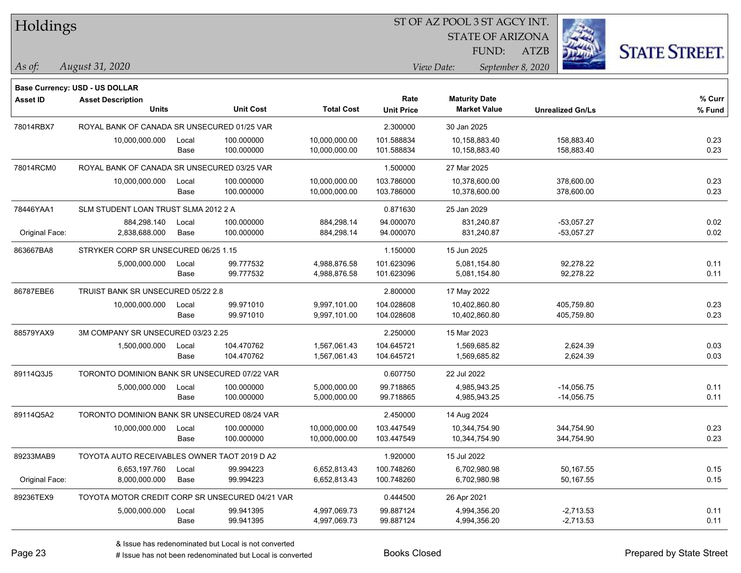| Holdings        |                                                 | ST OF AZ POOL 3 ST AGCY INT. |                  |                   |                           |                                             |                         |                         |                      |
|-----------------|-------------------------------------------------|------------------------------|------------------|-------------------|---------------------------|---------------------------------------------|-------------------------|-------------------------|----------------------|
|                 |                                                 |                              |                  |                   |                           |                                             | <b>STATE OF ARIZONA</b> |                         |                      |
|                 |                                                 |                              |                  |                   |                           |                                             | FUND:<br><b>ATZB</b>    |                         | <b>STATE STREET.</b> |
| $ $ As of:      | August 31, 2020                                 |                              |                  |                   |                           | View Date:                                  | September 8, 2020       |                         |                      |
|                 |                                                 |                              |                  |                   |                           |                                             |                         |                         |                      |
|                 | <b>Base Currency: USD - US DOLLAR</b>           |                              |                  |                   |                           |                                             |                         |                         |                      |
| <b>Asset ID</b> | <b>Asset Description</b><br><b>Units</b>        |                              | <b>Unit Cost</b> | <b>Total Cost</b> | Rate<br><b>Unit Price</b> | <b>Maturity Date</b><br><b>Market Value</b> |                         | <b>Unrealized Gn/Ls</b> | $%$ Curr<br>% Fund   |
| 78014RBX7       | ROYAL BANK OF CANADA SR UNSECURED 01/25 VAR     |                              |                  |                   | 2.300000                  | 30 Jan 2025                                 |                         |                         |                      |
|                 | 10,000,000.000                                  | Local                        | 100.000000       | 10,000,000.00     | 101.588834                | 10,158,883.40                               |                         | 158,883.40              | 0.23                 |
|                 |                                                 | Base                         | 100.000000       | 10,000,000.00     | 101.588834                | 10,158,883.40                               |                         | 158,883.40              | 0.23                 |
| 78014RCM0       | ROYAL BANK OF CANADA SR UNSECURED 03/25 VAR     |                              |                  |                   | 1.500000                  | 27 Mar 2025                                 |                         |                         |                      |
|                 | 10,000,000.000                                  | Local                        | 100.000000       | 10,000,000.00     | 103.786000                | 10,378,600.00                               |                         | 378,600.00              | 0.23                 |
|                 |                                                 | Base                         | 100.000000       | 10,000,000.00     | 103.786000                | 10,378,600.00                               |                         | 378,600.00              | 0.23                 |
| 78446YAA1       | SLM STUDENT LOAN TRUST SLMA 2012 2 A            |                              |                  |                   | 0.871630                  | 25 Jan 2029                                 |                         |                         |                      |
|                 | 884,298.140                                     | Local                        | 100.000000       | 884,298.14        | 94.000070                 | 831,240.87                                  |                         | $-53,057.27$            | 0.02                 |
| Original Face:  | 2,838,688.000                                   | Base                         | 100.000000       | 884,298.14        | 94.000070                 | 831,240.87                                  |                         | $-53,057.27$            | 0.02                 |
| 863667BA8       | STRYKER CORP SR UNSECURED 06/25 1.15            |                              |                  |                   | 1.150000                  | 15 Jun 2025                                 |                         |                         |                      |
|                 | 5,000,000.000                                   | Local                        | 99.777532        | 4,988,876.58      | 101.623096                | 5,081,154.80                                |                         | 92,278.22               | 0.11                 |
|                 |                                                 | Base                         | 99.777532        | 4,988,876.58      | 101.623096                | 5,081,154.80                                |                         | 92,278.22               | 0.11                 |
| 86787EBE6       | TRUIST BANK SR UNSECURED 05/22 2.8              |                              |                  |                   | 2.800000                  | 17 May 2022                                 |                         |                         |                      |
|                 | 10,000,000.000                                  | Local                        | 99.971010        | 9,997,101.00      | 104.028608                | 10,402,860.80                               |                         | 405,759.80              | 0.23                 |
|                 |                                                 | Base                         | 99.971010        | 9,997,101.00      | 104.028608                | 10,402,860.80                               |                         | 405,759.80              | 0.23                 |
| 88579YAX9       | 3M COMPANY SR UNSECURED 03/23 2.25              |                              |                  |                   | 2.250000                  | 15 Mar 2023                                 |                         |                         |                      |
|                 | 1,500,000.000                                   | Local                        | 104.470762       | 1,567,061.43      | 104.645721                | 1,569,685.82                                |                         | 2,624.39                | 0.03                 |
|                 |                                                 | Base                         | 104.470762       | 1,567,061.43      | 104.645721                | 1,569,685.82                                |                         | 2,624.39                | 0.03                 |
| 89114Q3J5       | TORONTO DOMINION BANK SR UNSECURED 07/22 VAR    |                              |                  |                   | 0.607750                  | 22 Jul 2022                                 |                         |                         |                      |
|                 | 5,000,000.000                                   | Local                        | 100.000000       | 5,000,000.00      | 99.718865                 | 4,985,943.25                                |                         | $-14,056.75$            | 0.11                 |
|                 |                                                 | Base                         | 100.000000       | 5,000,000.00      | 99.718865                 | 4,985,943.25                                |                         | $-14,056.75$            | 0.11                 |
| 89114Q5A2       | TORONTO DOMINION BANK SR UNSECURED 08/24 VAR    |                              |                  |                   | 2.450000                  | 14 Aug 2024                                 |                         |                         |                      |
|                 | 10,000,000.000                                  | Local                        | 100.000000       | 10,000,000.00     | 103.447549                | 10,344,754.90                               |                         | 344,754.90              | 0.23                 |
|                 |                                                 | Base                         | 100.000000       | 10,000,000.00     | 103.447549                | 10,344,754.90                               |                         | 344,754.90              | 0.23                 |
| 89233MAB9       | TOYOTA AUTO RECEIVABLES OWNER TAOT 2019 D A2    |                              |                  |                   | 1.920000                  | 15 Jul 2022                                 |                         |                         |                      |
|                 | 6,653,197.760                                   | Local                        | 99.994223        | 6,652,813.43      | 100.748260                | 6,702,980.98                                |                         | 50,167.55               | 0.15                 |
| Original Face:  | 8,000,000.000                                   | Base                         | 99.994223        | 6,652,813.43      | 100.748260                | 6,702,980.98                                |                         | 50,167.55               | 0.15                 |
| 89236TEX9       | TOYOTA MOTOR CREDIT CORP SR UNSECURED 04/21 VAR |                              |                  |                   | 0.444500                  | 26 Apr 2021                                 |                         |                         |                      |
|                 | 5,000,000.000                                   | Local                        | 99.941395        | 4,997,069.73      | 99.887124                 | 4,994,356.20                                |                         | $-2,713.53$             | 0.11                 |
|                 |                                                 | Base                         | 99.941395        | 4,997,069.73      | 99.887124                 | 4,994,356.20                                |                         | $-2,713.53$             | 0.11                 |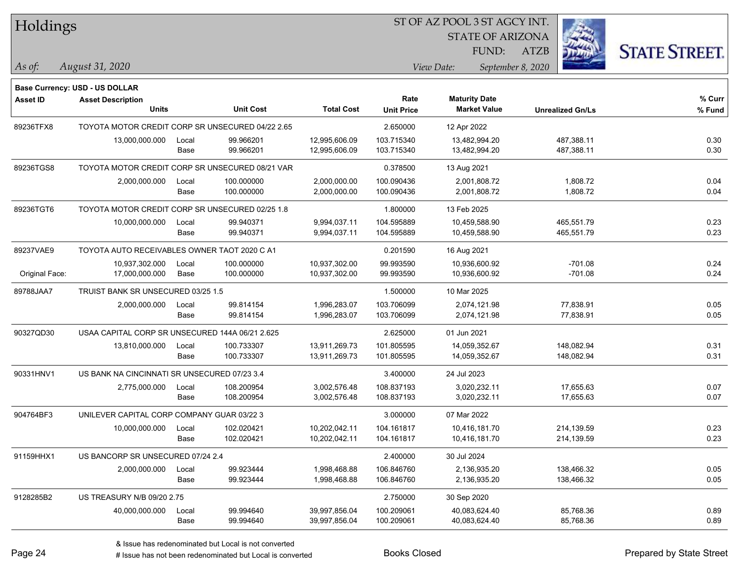#### ST OF AZ POOL 3 ST AGCY INT.

STATE OF ARIZONA

ATZB



**Base Currency: USD - US DOLLAR**

| <b>Asset ID</b> | <b>Asset Description</b>                         |       |                  |                   | Rate              | <b>Maturity Date</b> |                         | % Curr |
|-----------------|--------------------------------------------------|-------|------------------|-------------------|-------------------|----------------------|-------------------------|--------|
|                 | Units                                            |       | <b>Unit Cost</b> | <b>Total Cost</b> | <b>Unit Price</b> | <b>Market Value</b>  | <b>Unrealized Gn/Ls</b> | % Fund |
| 89236TFX8       | TOYOTA MOTOR CREDIT CORP SR UNSECURED 04/22 2.65 |       |                  |                   | 2.650000          | 12 Apr 2022          |                         |        |
|                 | 13,000,000.000                                   | Local | 99.966201        | 12,995,606.09     | 103.715340        | 13,482,994.20        | 487,388.11              | 0.30   |
|                 |                                                  | Base  | 99.966201        | 12,995,606.09     | 103.715340        | 13,482,994.20        | 487,388.11              | 0.30   |
| 89236TGS8       | TOYOTA MOTOR CREDIT CORP SR UNSECURED 08/21 VAR  |       |                  |                   | 0.378500          | 13 Aug 2021          |                         |        |
|                 | 2,000,000.000                                    | Local | 100.000000       | 2,000,000.00      | 100.090436        | 2,001,808.72         | 1,808.72                | 0.04   |
|                 |                                                  | Base  | 100.000000       | 2,000,000.00      | 100.090436        | 2,001,808.72         | 1,808.72                | 0.04   |
| 89236TGT6       | TOYOTA MOTOR CREDIT CORP SR UNSECURED 02/25 1.8  |       |                  |                   | 1.800000          | 13 Feb 2025          |                         |        |
|                 | 10,000,000.000                                   | Local | 99.940371        | 9,994,037.11      | 104.595889        | 10,459,588.90        | 465,551.79              | 0.23   |
|                 |                                                  | Base  | 99.940371        | 9,994,037.11      | 104.595889        | 10,459,588.90        | 465,551.79              | 0.23   |
| 89237VAE9       | TOYOTA AUTO RECEIVABLES OWNER TAOT 2020 C A1     |       |                  |                   | 0.201590          | 16 Aug 2021          |                         |        |
|                 | 10,937,302.000                                   | Local | 100.000000       | 10,937,302.00     | 99.993590         | 10,936,600.92        | $-701.08$               | 0.24   |
| Original Face:  | 17,000,000.000                                   | Base  | 100.000000       | 10,937,302.00     | 99.993590         | 10,936,600.92        | $-701.08$               | 0.24   |
| 89788JAA7       | TRUIST BANK SR UNSECURED 03/25 1.5               |       |                  |                   | 1.500000          | 10 Mar 2025          |                         |        |
|                 | 2,000,000.000                                    | Local | 99.814154        | 1,996,283.07      | 103.706099        | 2,074,121.98         | 77,838.91               | 0.05   |
|                 |                                                  | Base  | 99.814154        | 1,996,283.07      | 103.706099        | 2,074,121.98         | 77,838.91               | 0.05   |
| 90327QD30       | USAA CAPITAL CORP SR UNSECURED 144A 06/21 2.625  |       |                  |                   | 2.625000          | 01 Jun 2021          |                         |        |
|                 | 13,810,000.000                                   | Local | 100.733307       | 13,911,269.73     | 101.805595        | 14,059,352.67        | 148,082.94              | 0.31   |
|                 |                                                  | Base  | 100.733307       | 13,911,269.73     | 101.805595        | 14,059,352.67        | 148,082.94              | 0.31   |
| 90331HNV1       | US BANK NA CINCINNATI SR UNSECURED 07/23 3.4     |       |                  |                   | 3.400000          | 24 Jul 2023          |                         |        |
|                 | 2,775,000.000                                    | Local | 108.200954       | 3,002,576.48      | 108.837193        | 3,020,232.11         | 17,655.63               | 0.07   |
|                 |                                                  | Base  | 108.200954       | 3,002,576.48      | 108.837193        | 3,020,232.11         | 17,655.63               | 0.07   |
| 904764BF3       | UNILEVER CAPITAL CORP COMPANY GUAR 03/22 3       |       |                  |                   | 3.000000          | 07 Mar 2022          |                         |        |
|                 | 10,000,000.000                                   | Local | 102.020421       | 10,202,042.11     | 104.161817        | 10,416,181.70        | 214,139.59              | 0.23   |
|                 |                                                  | Base  | 102.020421       | 10,202,042.11     | 104.161817        | 10,416,181.70        | 214,139.59              | 0.23   |
| 91159HHX1       | US BANCORP SR UNSECURED 07/24 2.4                |       |                  |                   | 2.400000          | 30 Jul 2024          |                         |        |
|                 | 2,000,000.000                                    | Local | 99.923444        | 1,998,468.88      | 106.846760        | 2,136,935.20         | 138,466.32              | 0.05   |
|                 |                                                  | Base  | 99.923444        | 1,998,468.88      | 106.846760        | 2,136,935.20         | 138,466.32              | 0.05   |
| 9128285B2       | <b>US TREASURY N/B 09/20 2.75</b>                |       |                  |                   | 2.750000          | 30 Sep 2020          |                         |        |
|                 | 40,000,000.000                                   | Local | 99.994640        | 39,997,856.04     | 100.209061        | 40,083,624.40        | 85,768.36               | 0.89   |
|                 |                                                  | Base  | 99.994640        | 39,997,856.04     | 100.209061        | 40,083,624.40        | 85,768.36               | 0.89   |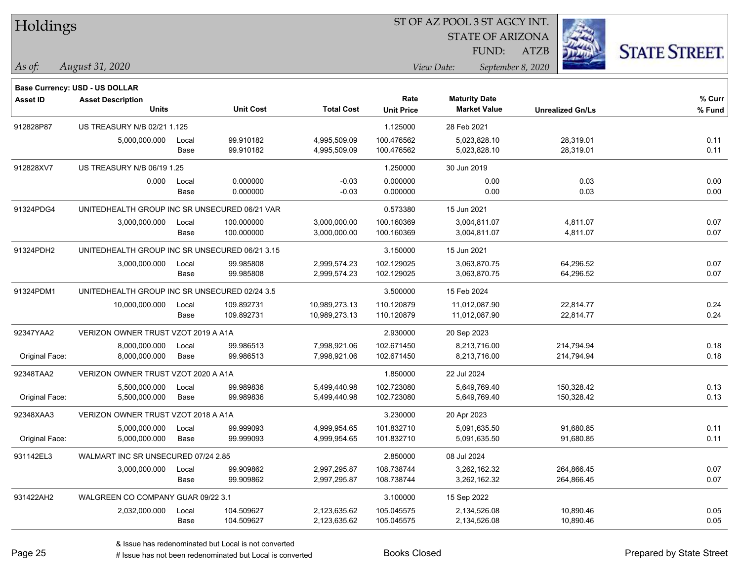| Holdings        |                                                                   |       |                  |                   | ST OF AZ POOL 3 ST AGCY INT. |                         |                         |                      |
|-----------------|-------------------------------------------------------------------|-------|------------------|-------------------|------------------------------|-------------------------|-------------------------|----------------------|
|                 |                                                                   |       |                  |                   |                              | <b>STATE OF ARIZONA</b> |                         |                      |
|                 |                                                                   |       |                  |                   |                              | FUND:                   | <b>ATZB</b>             | <b>STATE STREET.</b> |
| $\vert$ As of:  | August 31, 2020                                                   |       |                  |                   |                              | View Date:              | September 8, 2020       |                      |
|                 |                                                                   |       |                  |                   |                              |                         |                         |                      |
| <b>Asset ID</b> | <b>Base Currency: USD - US DOLLAR</b><br><b>Asset Description</b> |       |                  |                   | Rate                         | <b>Maturity Date</b>    |                         | $%$ Curr             |
|                 | <b>Units</b>                                                      |       | <b>Unit Cost</b> | <b>Total Cost</b> | <b>Unit Price</b>            | <b>Market Value</b>     | <b>Unrealized Gn/Ls</b> | % Fund               |
| 912828P87       | US TREASURY N/B 02/21 1.125                                       |       |                  |                   | 1.125000                     | 28 Feb 2021             |                         |                      |
|                 | 5,000,000.000                                                     | Local | 99.910182        | 4,995,509.09      | 100.476562                   | 5,023,828.10            | 28,319.01               | 0.11                 |
|                 |                                                                   | Base  | 99.910182        | 4,995,509.09      | 100.476562                   | 5,023,828.10            | 28,319.01               | 0.11                 |
| 912828XV7       | US TREASURY N/B 06/19 1.25                                        |       |                  |                   | 1.250000                     | 30 Jun 2019             |                         |                      |
|                 | 0.000                                                             | Local | 0.000000         | $-0.03$           | 0.000000                     | 0.00                    | 0.03                    | 0.00                 |
|                 |                                                                   | Base  | 0.000000         | $-0.03$           | 0.000000                     | 0.00                    | 0.03                    | 0.00                 |
| 91324PDG4       | UNITEDHEALTH GROUP INC SR UNSECURED 06/21 VAR                     |       |                  |                   | 0.573380                     | 15 Jun 2021             |                         |                      |
|                 | 3,000,000.000                                                     | Local | 100.000000       | 3,000,000.00      | 100.160369                   | 3,004,811.07            | 4,811.07                | 0.07                 |
|                 |                                                                   | Base  | 100.000000       | 3,000,000.00      | 100.160369                   | 3,004,811.07            | 4,811.07                | 0.07                 |
| 91324PDH2       | UNITEDHEALTH GROUP INC SR UNSECURED 06/21 3.15                    |       |                  |                   | 3.150000                     | 15 Jun 2021             |                         |                      |
|                 | 3,000,000.000                                                     | Local | 99.985808        | 2,999,574.23      | 102.129025                   | 3,063,870.75            | 64,296.52               | 0.07                 |
|                 |                                                                   | Base  | 99.985808        | 2,999,574.23      | 102.129025                   | 3,063,870.75            | 64,296.52               | 0.07                 |
| 91324PDM1       | UNITEDHEALTH GROUP INC SR UNSECURED 02/24 3.5                     |       |                  |                   | 3.500000                     | 15 Feb 2024             |                         |                      |
|                 | 10,000,000.000                                                    | Local | 109.892731       | 10,989,273.13     | 110.120879                   | 11,012,087.90           | 22,814.77               | 0.24                 |
|                 |                                                                   | Base  | 109.892731       | 10,989,273.13     | 110.120879                   | 11,012,087.90           | 22,814.77               | 0.24                 |
| 92347YAA2       | VERIZON OWNER TRUST VZOT 2019 A A1A                               |       |                  |                   | 2.930000                     | 20 Sep 2023             |                         |                      |
|                 | 8,000,000.000                                                     | Local | 99.986513        | 7,998,921.06      | 102.671450                   | 8,213,716.00            | 214,794.94              | 0.18                 |
| Original Face:  | 8,000,000.000                                                     | Base  | 99.986513        | 7,998,921.06      | 102.671450                   | 8,213,716.00            | 214,794.94              | 0.18                 |
| 92348TAA2       | VERIZON OWNER TRUST VZOT 2020 A A1A                               |       |                  |                   | 1.850000                     | 22 Jul 2024             |                         |                      |
|                 | 5,500,000.000                                                     | Local | 99.989836        | 5,499,440.98      | 102.723080                   | 5,649,769.40            | 150,328.42              | 0.13                 |
| Original Face:  | 5,500,000.000                                                     | Base  | 99.989836        | 5,499,440.98      | 102.723080                   | 5,649,769.40            | 150,328.42              | 0.13                 |
| 92348XAA3       | VERIZON OWNER TRUST VZOT 2018 A A1A                               |       |                  |                   | 3.230000                     | 20 Apr 2023             |                         |                      |
|                 | 5,000,000.000                                                     | Local | 99.999093        | 4,999,954.65      | 101.832710                   | 5,091,635.50            | 91,680.85               | 0.11                 |
| Original Face:  | 5,000,000.000                                                     | Base  | 99.999093        | 4,999,954.65      | 101.832710                   | 5,091,635.50            | 91,680.85               | 0.11                 |
| 931142EL3       | WALMART INC SR UNSECURED 07/24 2.85                               |       |                  |                   | 2.850000                     | 08 Jul 2024             |                         |                      |
|                 | 3,000,000.000                                                     | Local | 99.909862        | 2,997,295.87      | 108.738744                   | 3,262,162.32            | 264,866.45              | 0.07                 |
|                 |                                                                   | Base  | 99.909862        | 2,997,295.87      | 108.738744                   | 3,262,162.32            | 264,866.45              | 0.07                 |
| 931422AH2       | WALGREEN CO COMPANY GUAR 09/22 3.1                                |       |                  |                   | 3.100000                     | 15 Sep 2022             |                         |                      |
|                 | 2,032,000.000                                                     | Local | 104.509627       | 2,123,635.62      | 105.045575                   | 2,134,526.08            | 10,890.46               | 0.05                 |
|                 |                                                                   | Base  | 104.509627       | 2,123,635.62      | 105.045575                   | 2,134,526.08            | 10,890.46               | 0.05                 |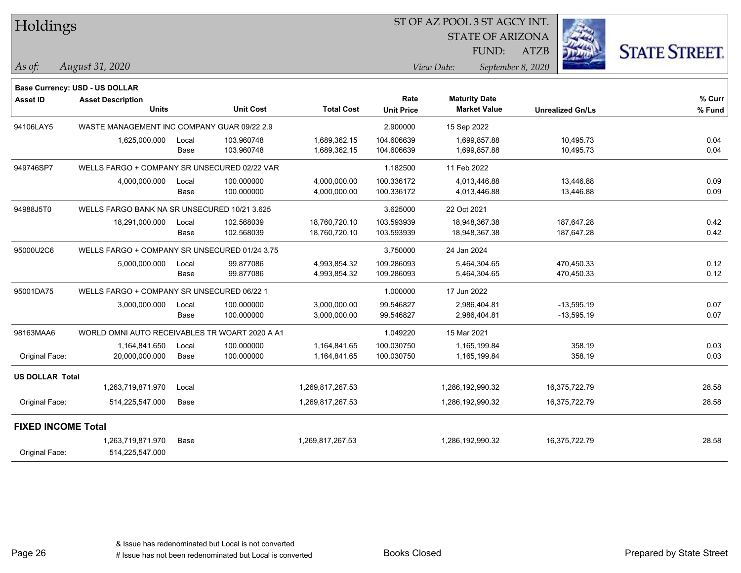|  |  | Holdings |  |
|--|--|----------|--|
|--|--|----------|--|

STATE OF ARIZONA

ATZB



*August 31, 2020 As of: View Date: September 8, 2020*

**Base Currency: USD - US DOLLAR**

FUND:

| <b>Asset ID</b>           | <b>Asset Description</b><br><b>Units</b>       |               | <b>Unit Cost</b>         | <b>Total Cost</b>              | Rate<br><b>Unit Price</b> | <b>Maturity Date</b><br><b>Market Value</b> | <b>Unrealized Gn/Ls</b>      | % Curr<br>% Fund |
|---------------------------|------------------------------------------------|---------------|--------------------------|--------------------------------|---------------------------|---------------------------------------------|------------------------------|------------------|
| 94106LAY5                 | WASTE MANAGEMENT INC COMPANY GUAR 09/22 2.9    |               |                          |                                | 2.900000                  | 15 Sep 2022                                 |                              |                  |
|                           | 1,625,000.000                                  | Local<br>Base | 103.960748<br>103.960748 | 1,689,362.15<br>1,689,362.15   | 104.606639<br>104.606639  | 1,699,857.88<br>1,699,857.88                | 10,495.73<br>10,495.73       | 0.04<br>0.04     |
| 949746SP7                 | WELLS FARGO + COMPANY SR UNSECURED 02/22 VAR   |               |                          |                                | 1.182500                  | 11 Feb 2022                                 |                              |                  |
|                           | 4,000,000.000                                  | Local<br>Base | 100.000000<br>100.000000 | 4,000,000.00<br>4,000,000.00   | 100.336172<br>100.336172  | 4,013,446.88<br>4,013,446.88                | 13,446.88<br>13,446.88       | 0.09<br>0.09     |
| 94988J5T0                 | WELLS FARGO BANK NA SR UNSECURED 10/21 3.625   |               |                          |                                | 3.625000                  | 22 Oct 2021                                 |                              |                  |
|                           | 18,291,000.000                                 | Local<br>Base | 102.568039<br>102.568039 | 18,760,720.10<br>18,760,720.10 | 103.593939<br>103.593939  | 18,948,367.38<br>18,948,367.38              | 187,647.28<br>187,647.28     | 0.42<br>0.42     |
| 95000U2C6                 | WELLS FARGO + COMPANY SR UNSECURED 01/24 3.75  |               |                          |                                | 3.750000                  | 24 Jan 2024                                 |                              |                  |
|                           | 5,000,000.000                                  | Local<br>Base | 99.877086<br>99.877086   | 4,993,854.32<br>4,993,854.32   | 109.286093<br>109.286093  | 5,464,304.65<br>5,464,304.65                | 470,450.33<br>470,450.33     | 0.12<br>0.12     |
| 95001DA75                 | WELLS FARGO + COMPANY SR UNSECURED 06/22 1     |               |                          |                                | 1.000000                  | 17 Jun 2022                                 |                              |                  |
|                           | 3,000,000.000                                  | Local<br>Base | 100.000000<br>100.000000 | 3,000,000.00<br>3,000,000.00   | 99.546827<br>99.546827    | 2,986,404.81<br>2,986,404.81                | $-13,595.19$<br>$-13,595.19$ | 0.07<br>0.07     |
| 98163MAA6                 | WORLD OMNI AUTO RECEIVABLES TR WOART 2020 A A1 |               |                          |                                | 1.049220                  | 15 Mar 2021                                 |                              |                  |
| Original Face:            | 1,164,841.650<br>20,000,000.000                | Local<br>Base | 100.000000<br>100.000000 | 1,164,841.65<br>1,164,841.65   | 100.030750<br>100.030750  | 1,165,199.84<br>1,165,199.84                | 358.19<br>358.19             | 0.03<br>0.03     |
| <b>US DOLLAR Total</b>    |                                                |               |                          |                                |                           |                                             |                              |                  |
|                           | 1,263,719,871.970                              | Local         |                          | 1,269,817,267.53               |                           | 1,286,192,990.32                            | 16,375,722.79                | 28.58            |
| Original Face:            | 514,225,547.000                                | Base          |                          | 1,269,817,267.53               |                           | 1,286,192,990.32                            | 16,375,722.79                | 28.58            |
| <b>FIXED INCOME Total</b> |                                                |               |                          |                                |                           |                                             |                              |                  |
| Original Face:            | 1,263,719,871.970<br>514,225,547.000           | Base          |                          | 1,269,817,267.53               |                           | 1,286,192,990.32                            | 16,375,722.79                | 28.58            |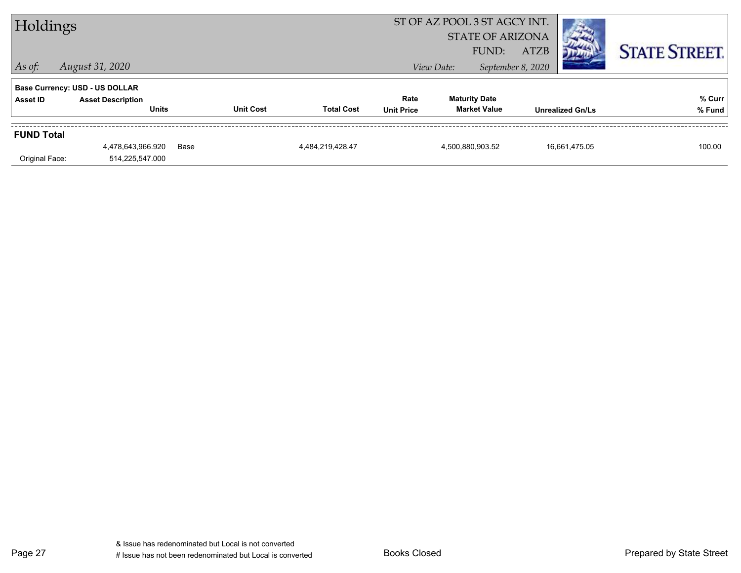|                   | ST OF AZ POOL 3 ST AGCY INT.<br>Holdings<br><b>STATE OF ARIZONA</b><br><b>ATZB</b><br>FUND: |      |                  |                   |                           |            |                                             |                   | <b>STATE STREET.</b>    |                  |
|-------------------|---------------------------------------------------------------------------------------------|------|------------------|-------------------|---------------------------|------------|---------------------------------------------|-------------------|-------------------------|------------------|
| $\vert$ As of:    | August 31, 2020                                                                             |      |                  |                   |                           | View Date: |                                             | September 8, 2020 |                         |                  |
|                   | <b>Base Currency: USD - US DOLLAR</b>                                                       |      |                  |                   |                           |            |                                             |                   |                         |                  |
| Asset ID          | <b>Asset Description</b><br><b>Units</b>                                                    |      | <b>Unit Cost</b> | <b>Total Cost</b> | Rate<br><b>Unit Price</b> |            | <b>Maturity Date</b><br><b>Market Value</b> |                   | <b>Unrealized Gn/Ls</b> | % Curr<br>% Fund |
| <b>FUND Total</b> |                                                                                             |      |                  |                   |                           |            |                                             |                   |                         |                  |
| Original Face:    | 4,478,643,966.920<br>514,225,547.000                                                        | Base |                  | 4.484.219.428.47  |                           |            | 4,500,880,903.52                            |                   | 16,661,475.05           | 100.00           |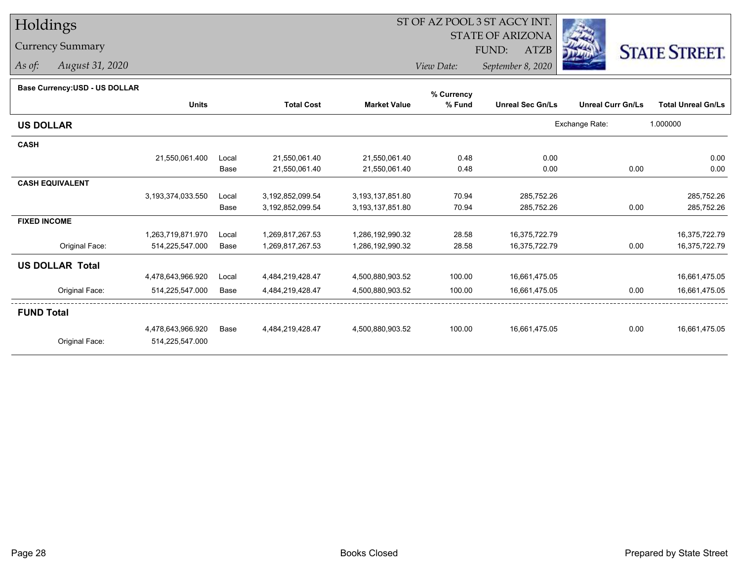### Currency Summary

*As of: August 31, 2020*

## ST OF AZ POOL 3 ST AGCY INT.

STATE OF ARIZONA

FUND: ATZB



*View Date:September 8, 2020*

#### **Base Currency:USD - US DOLLAR**

| Dase Currency.OSD - OS DOLLAR |                   |       |                   |                     | % Currency |                         |                          |                           |
|-------------------------------|-------------------|-------|-------------------|---------------------|------------|-------------------------|--------------------------|---------------------------|
|                               | <b>Units</b>      |       | <b>Total Cost</b> | <b>Market Value</b> | % Fund     | <b>Unreal Sec Gn/Ls</b> | <b>Unreal Curr Gn/Ls</b> | <b>Total Unreal Gn/Ls</b> |
| <b>US DOLLAR</b>              |                   |       |                   |                     |            |                         | Exchange Rate:           | 1.000000                  |
| <b>CASH</b>                   |                   |       |                   |                     |            |                         |                          |                           |
|                               | 21,550,061.400    | Local | 21,550,061.40     | 21,550,061.40       | 0.48       | 0.00                    |                          | 0.00                      |
|                               |                   | Base  | 21,550,061.40     | 21,550,061.40       | 0.48       | 0.00                    | 0.00                     | 0.00                      |
| <b>CASH EQUIVALENT</b>        |                   |       |                   |                     |            |                         |                          |                           |
|                               | 3,193,374,033.550 | Local | 3,192,852,099.54  | 3,193,137,851.80    | 70.94      | 285,752.26              |                          | 285,752.26                |
|                               |                   | Base  | 3,192,852,099.54  | 3,193,137,851.80    | 70.94      | 285,752.26              | 0.00                     | 285,752.26                |
| <b>FIXED INCOME</b>           |                   |       |                   |                     |            |                         |                          |                           |
|                               | 1,263,719,871.970 | Local | 1,269,817,267.53  | 1,286,192,990.32    | 28.58      | 16,375,722.79           |                          | 16,375,722.79             |
| Original Face:                | 514,225,547.000   | Base  | 1,269,817,267.53  | 1,286,192,990.32    | 28.58      | 16,375,722.79           | 0.00                     | 16,375,722.79             |
| <b>US DOLLAR Total</b>        |                   |       |                   |                     |            |                         |                          |                           |
|                               | 4,478,643,966.920 | Local | 4,484,219,428.47  | 4,500,880,903.52    | 100.00     | 16,661,475.05           |                          | 16,661,475.05             |
| Original Face:                | 514,225,547.000   | Base  | 4,484,219,428.47  | 4,500,880,903.52    | 100.00     | 16,661,475.05           | 0.00                     | 16,661,475.05             |
| <b>FUND Total</b>             |                   |       |                   |                     |            |                         |                          |                           |
|                               | 4,478,643,966.920 | Base  | 4,484,219,428.47  | 4,500,880,903.52    | 100.00     | 16,661,475.05           | 0.00                     | 16,661,475.05             |
| Original Face:                | 514,225,547.000   |       |                   |                     |            |                         |                          |                           |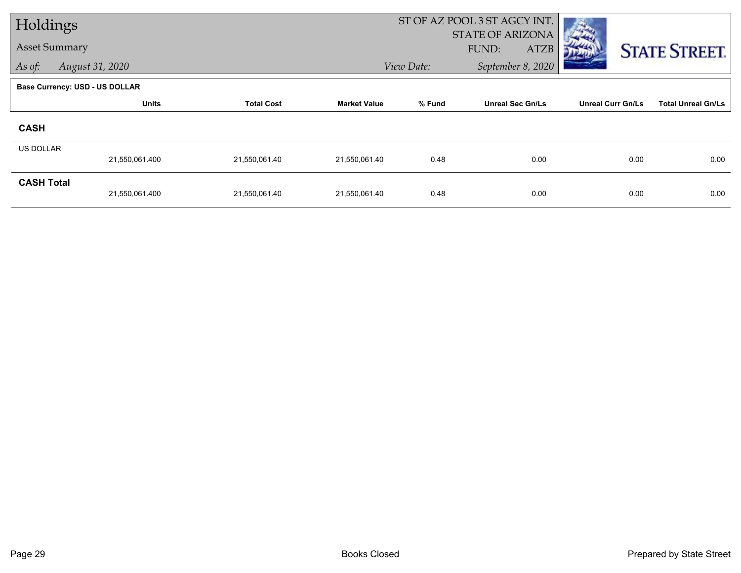| Holdings             |                                       |                   |                     | ST OF AZ POOL 3 ST AGCY INT. |                         |                          |                           |
|----------------------|---------------------------------------|-------------------|---------------------|------------------------------|-------------------------|--------------------------|---------------------------|
|                      |                                       |                   |                     |                              | STATE OF ARIZONA        |                          |                           |
| <b>Asset Summary</b> |                                       |                   |                     |                              | <b>ATZB</b><br>FUND:    |                          | <b>STATE STREET.</b>      |
| As of:               | August 31, 2020                       |                   |                     | View Date:                   | September 8, 2020       |                          |                           |
|                      | <b>Base Currency: USD - US DOLLAR</b> |                   |                     |                              |                         |                          |                           |
|                      | <b>Units</b>                          | <b>Total Cost</b> | <b>Market Value</b> | % Fund                       | <b>Unreal Sec Gn/Ls</b> | <b>Unreal Curr Gn/Ls</b> | <b>Total Unreal Gn/Ls</b> |
| <b>CASH</b>          |                                       |                   |                     |                              |                         |                          |                           |
| <b>US DOLLAR</b>     |                                       |                   |                     |                              |                         |                          |                           |
|                      | 21,550,061.400                        | 21,550,061.40     | 21,550,061.40       | 0.48                         | 0.00                    | 0.00                     | 0.00                      |
| <b>CASH Total</b>    |                                       |                   |                     |                              |                         |                          |                           |
|                      | 21,550,061.400                        | 21,550,061.40     | 21,550,061.40       | 0.48                         | 0.00                    | 0.00                     | 0.00                      |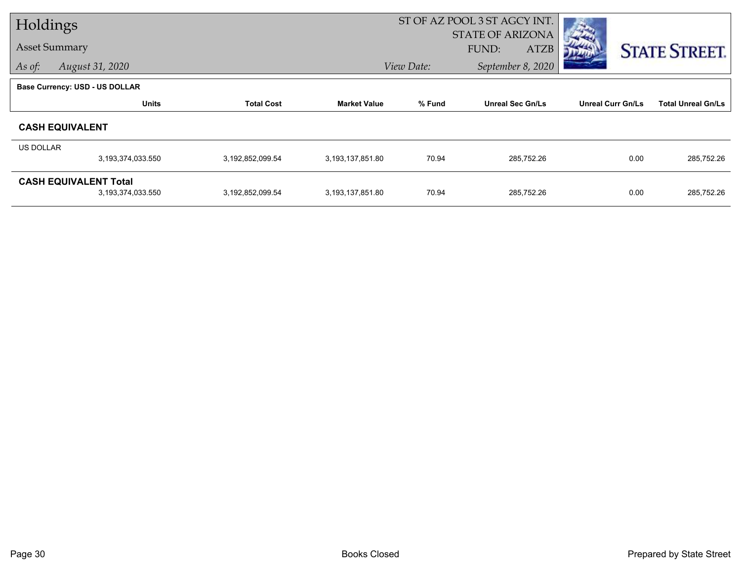| Holdings         |                                       |                   | ST OF AZ POOL 3 ST AGCY INT. |            |                         |                          |                           |
|------------------|---------------------------------------|-------------------|------------------------------|------------|-------------------------|--------------------------|---------------------------|
|                  |                                       |                   |                              |            | <b>STATE OF ARIZONA</b> |                          |                           |
|                  | <b>Asset Summary</b>                  |                   |                              |            | <b>ATZB</b><br>FUND:    |                          | <b>STATE STREET.</b>      |
| As of:           | August 31, 2020                       |                   |                              | View Date: | September 8, 2020       |                          |                           |
|                  | <b>Base Currency: USD - US DOLLAR</b> |                   |                              |            |                         |                          |                           |
|                  | <b>Units</b>                          | <b>Total Cost</b> | <b>Market Value</b>          | % Fund     | <b>Unreal Sec Gn/Ls</b> | <b>Unreal Curr Gn/Ls</b> | <b>Total Unreal Gn/Ls</b> |
|                  | <b>CASH EQUIVALENT</b>                |                   |                              |            |                         |                          |                           |
| <b>US DOLLAR</b> |                                       |                   |                              |            |                         |                          |                           |
|                  | 3,193,374,033.550                     | 3,192,852,099.54  | 3,193,137,851.80             | 70.94      | 285,752.26              | 0.00                     | 285,752.26                |
|                  | <b>CASH EQUIVALENT Total</b>          |                   |                              |            |                         |                          |                           |
|                  | 3,193,374,033.550                     | 3,192,852,099.54  | 3,193,137,851.80             | 70.94      | 285,752.26              | 0.00                     | 285,752.26                |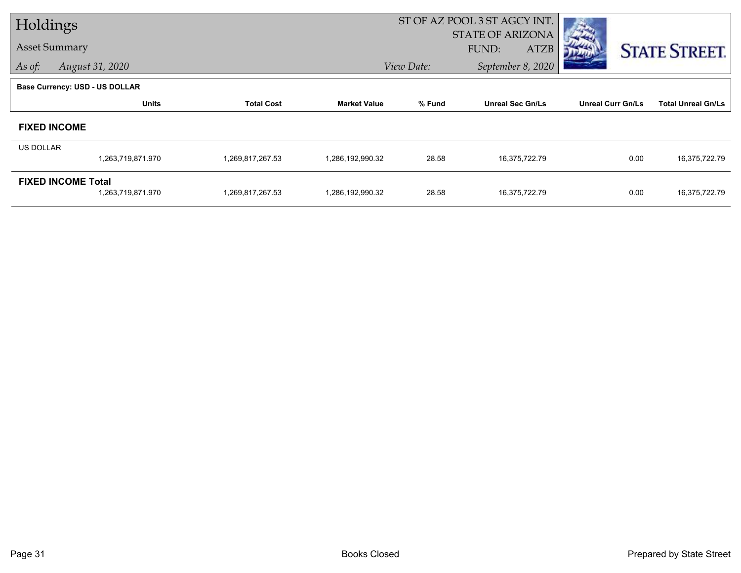| Holdings         |                                |                   |                     |            | ST OF AZ POOL 3 ST AGCY INT.                    |                          |                           |
|------------------|--------------------------------|-------------------|---------------------|------------|-------------------------------------------------|--------------------------|---------------------------|
|                  | <b>Asset Summary</b>           |                   |                     |            | <b>STATE OF ARIZONA</b><br>FUND:<br><b>ATZB</b> |                          |                           |
| As of:           | August 31, 2020                |                   |                     | View Date: | September 8, 2020                               |                          | <b>STATE STREET.</b>      |
|                  |                                |                   |                     |            |                                                 |                          |                           |
|                  | Base Currency: USD - US DOLLAR |                   |                     |            |                                                 |                          |                           |
|                  | <b>Units</b>                   | <b>Total Cost</b> | <b>Market Value</b> | % Fund     | <b>Unreal Sec Gn/Ls</b>                         | <b>Unreal Curr Gn/Ls</b> | <b>Total Unreal Gn/Ls</b> |
|                  | <b>FIXED INCOME</b>            |                   |                     |            |                                                 |                          |                           |
| <b>US DOLLAR</b> |                                |                   |                     |            |                                                 |                          |                           |
|                  | 1,263,719,871.970              | 1,269,817,267.53  | 1,286,192,990.32    | 28.58      | 16,375,722.79                                   | 0.00                     | 16,375,722.79             |
|                  | <b>FIXED INCOME Total</b>      |                   |                     |            |                                                 |                          |                           |
|                  | 1,263,719,871.970              | 1,269,817,267.53  | 1,286,192,990.32    | 28.58      | 16,375,722.79                                   | 0.00                     | 16,375,722.79             |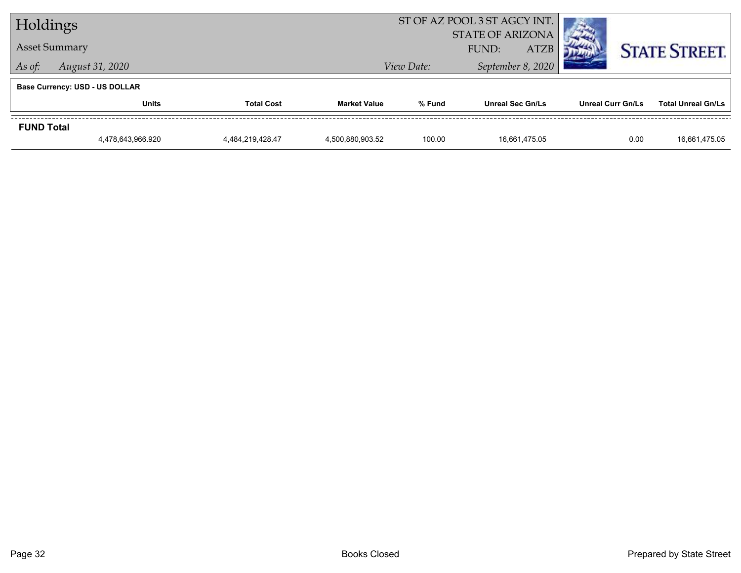| Holdings          |                                       |                   |                     | ST OF AZ POOL 3 ST AGCY INT. |                                                 |                          |                           |
|-------------------|---------------------------------------|-------------------|---------------------|------------------------------|-------------------------------------------------|--------------------------|---------------------------|
|                   | <b>Asset Summary</b>                  |                   |                     |                              | <b>STATE OF ARIZONA</b><br><b>ATZB</b><br>FUND: |                          | <b>STATE STREET.</b>      |
| As of:            | August 31, 2020                       |                   |                     | View Date:                   | September 8, 2020                               |                          |                           |
|                   | <b>Base Currency: USD - US DOLLAR</b> |                   |                     |                              |                                                 |                          |                           |
|                   | Units                                 | <b>Total Cost</b> | <b>Market Value</b> | % Fund                       | <b>Unreal Sec Gn/Ls</b>                         | <b>Unreal Curr Gn/Ls</b> | <b>Total Unreal Gn/Ls</b> |
| <b>FUND Total</b> |                                       |                   |                     |                              |                                                 |                          |                           |
|                   | 4,478,643,966.920                     | 4.484.219.428.47  | 4,500,880,903.52    | 100.00                       | 16.661.475.05                                   | 0.00                     | 16,661,475.05             |